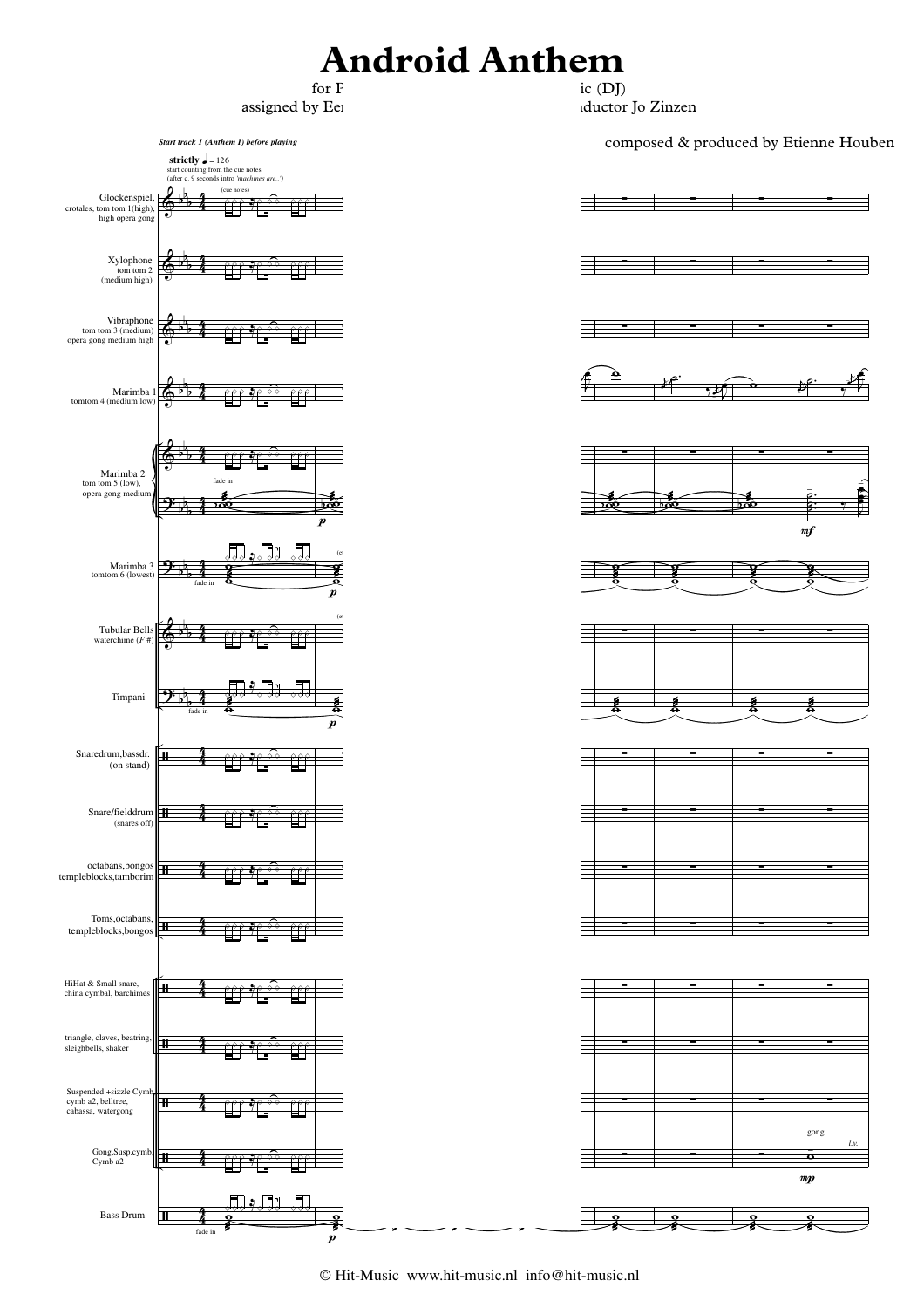## **Android Anthem**



for  $P$  ic (DJ) assigned by Eensensymmetric metalstate metalstate and aductor Jo Zinzen

composed & produced by Etienne Houben



© Hit-Music www.hit-music.nl info@hit-music.nl

æ

w æ

w æ

w æ w æ

æ

p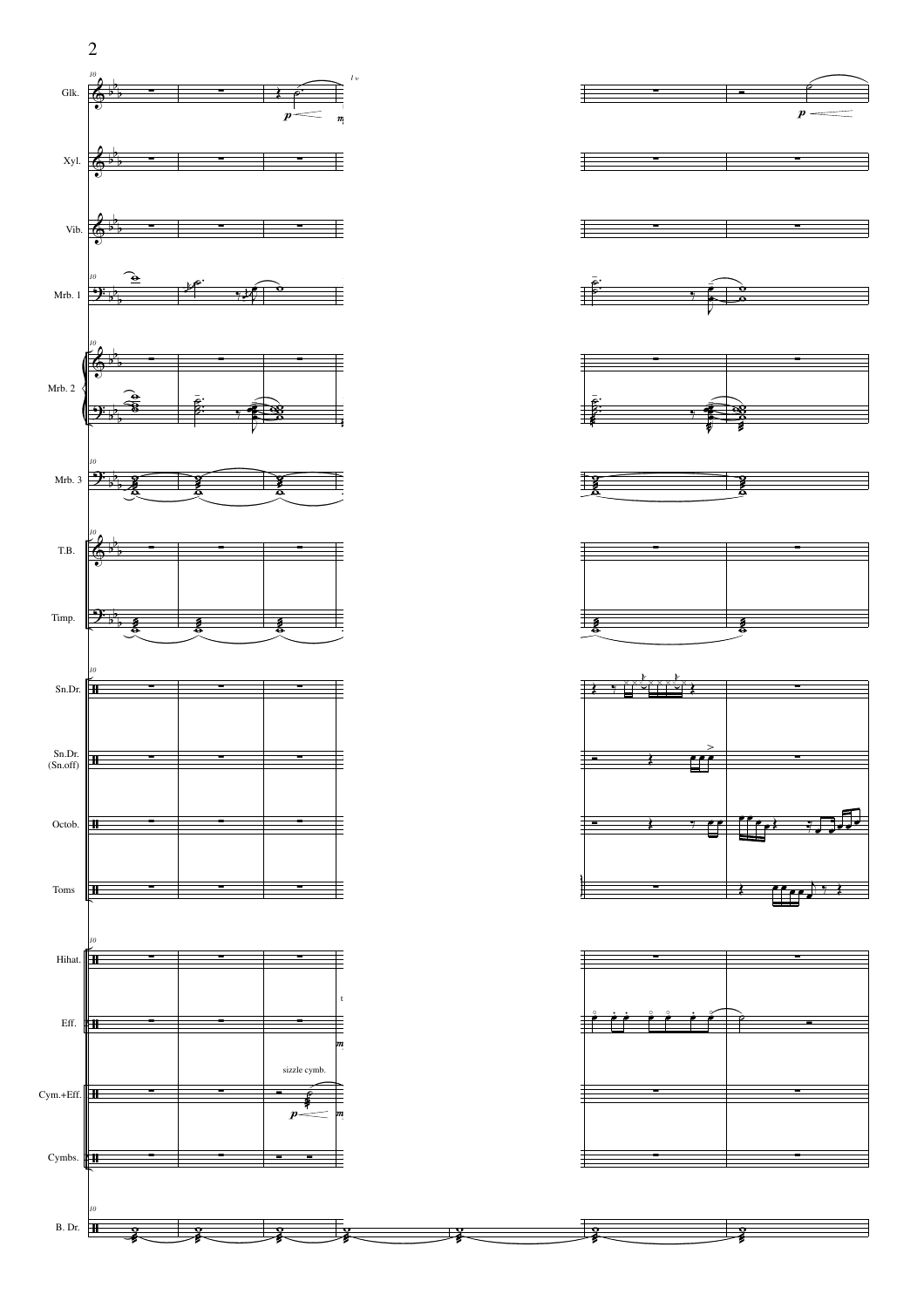



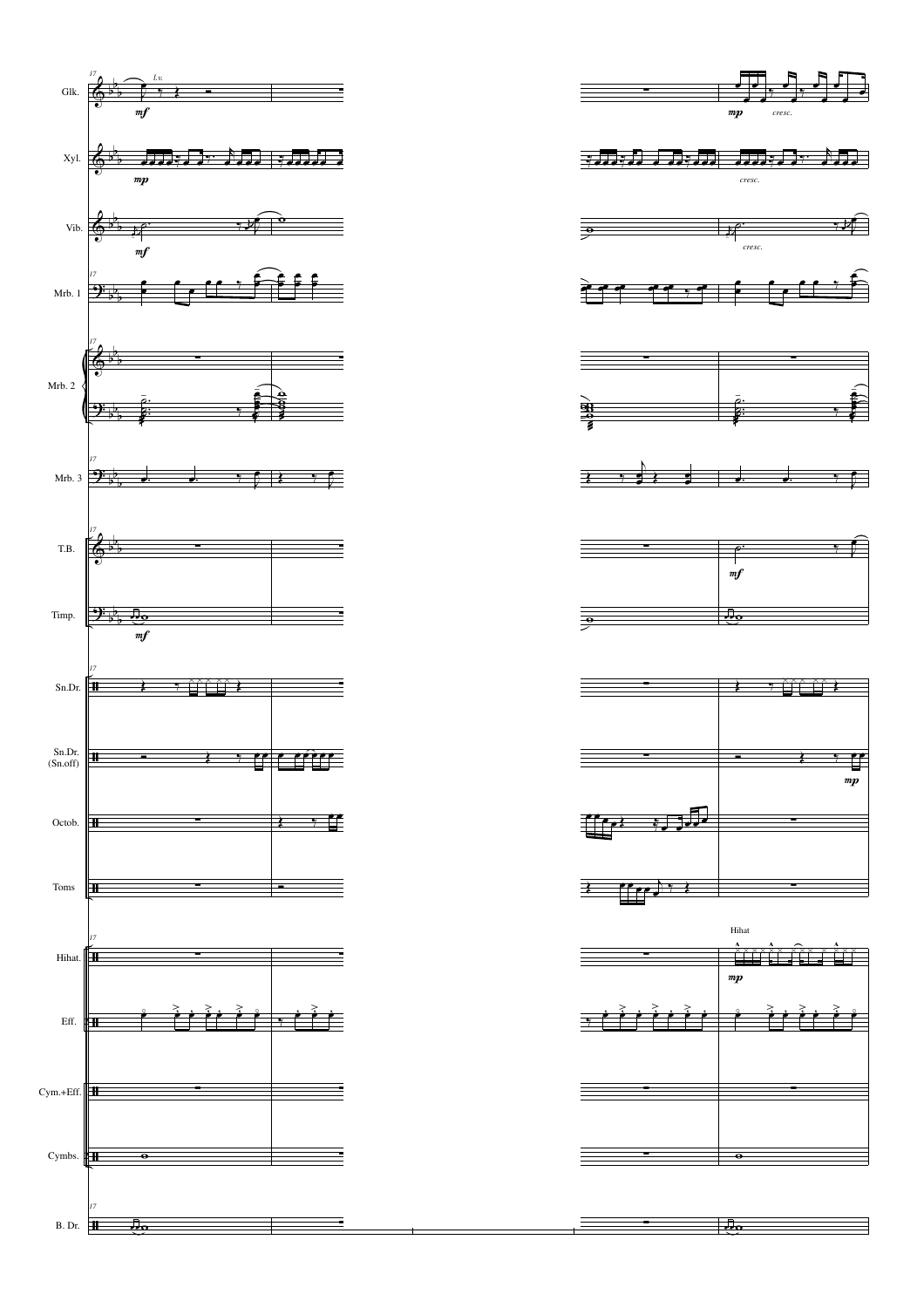



∑  $\overline{\bullet}$ 

∑

∑

 $\frac{1}{\sqrt{2}}$ 

Ξ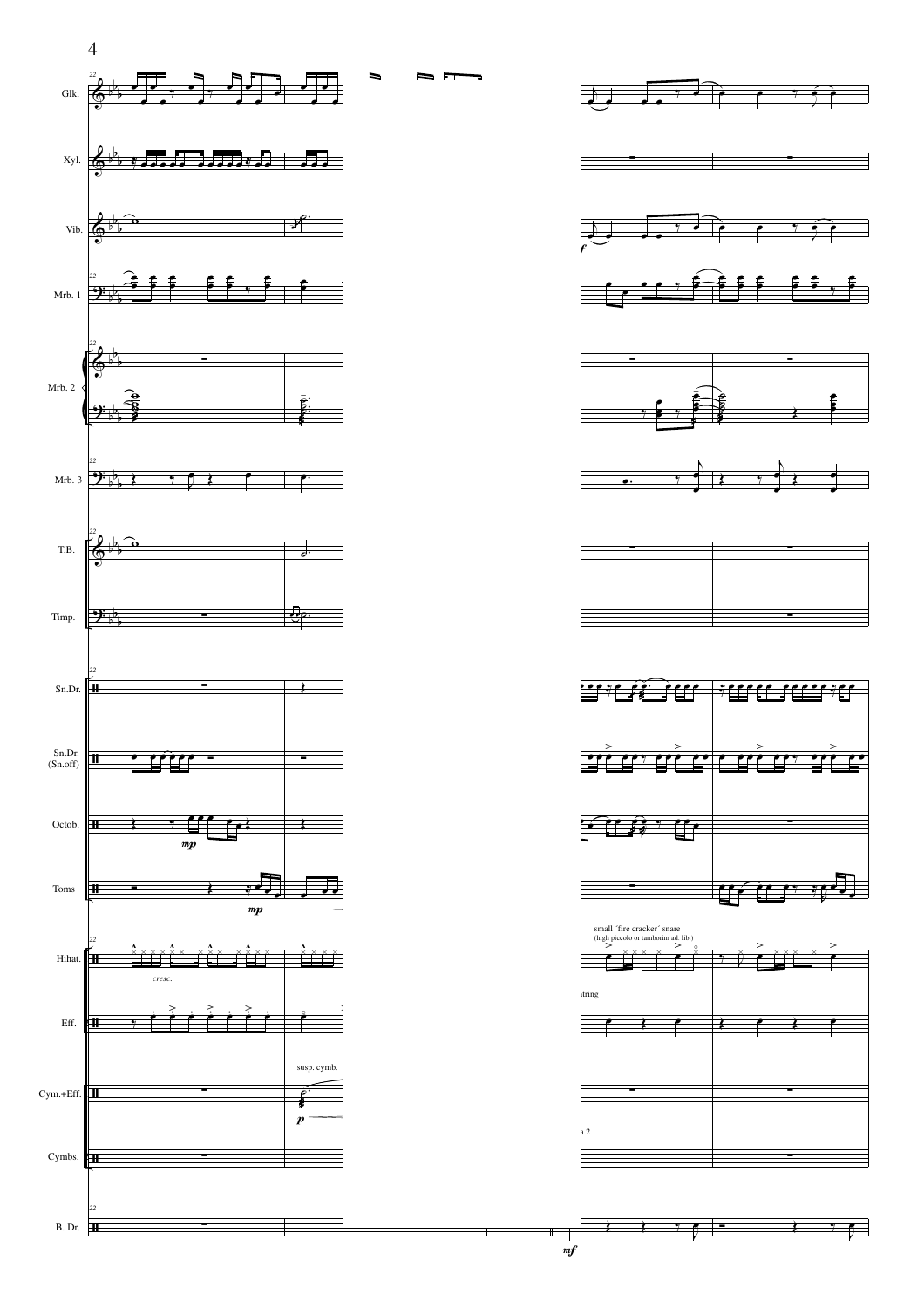

œ œ

∑

∑





 $\overline{\mathcal{R}}$   $\mathcal{R}$   $\mathcal{S}$   $\mathcal{S}$   $\mathcal{S}$  $m f$  $\gamma$   $\gamma$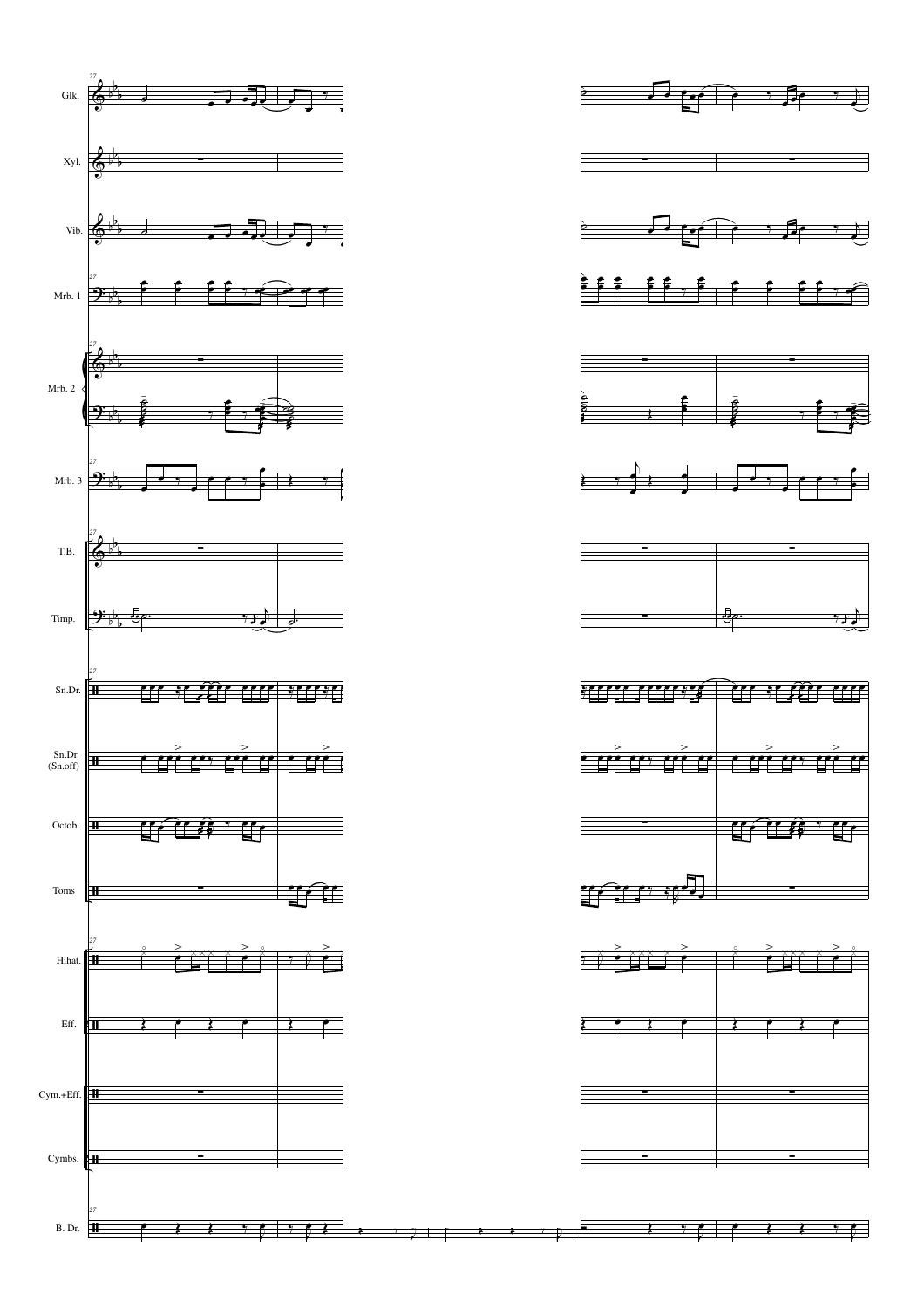







**e** tto

 $\overline{a}$   $\overline{b}$ 

œ

 $\overline{\phantom{a}}$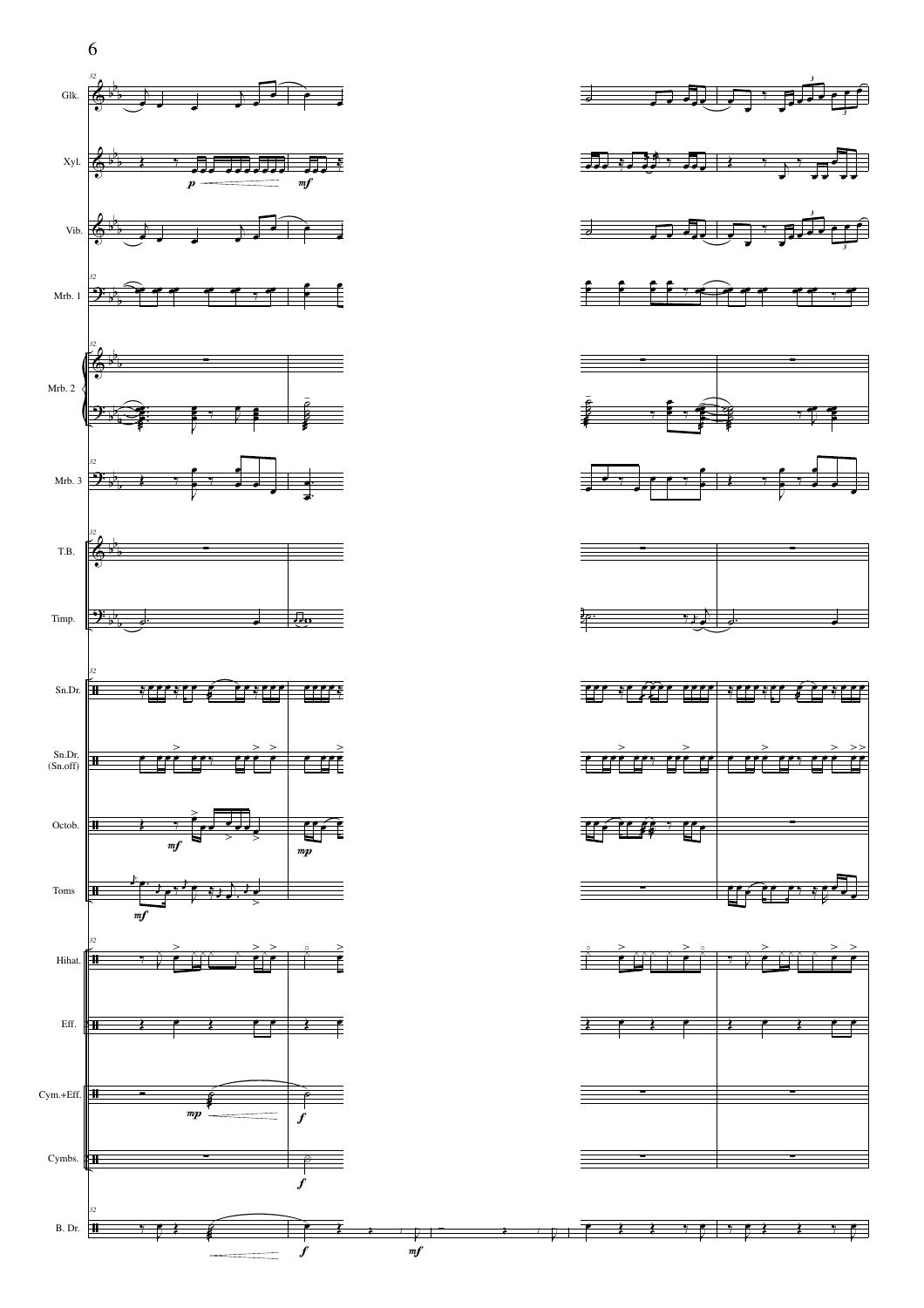

₽

 $\overline{\phantom{a}}$   $\overline{\phantom{a}}$ 

œ

<sup>œ</sup> Œ Œ ‰ <sup>J</sup>





œ ‰ J <sup>œ</sup> Œ Œ ‰ <sup>J</sup> œ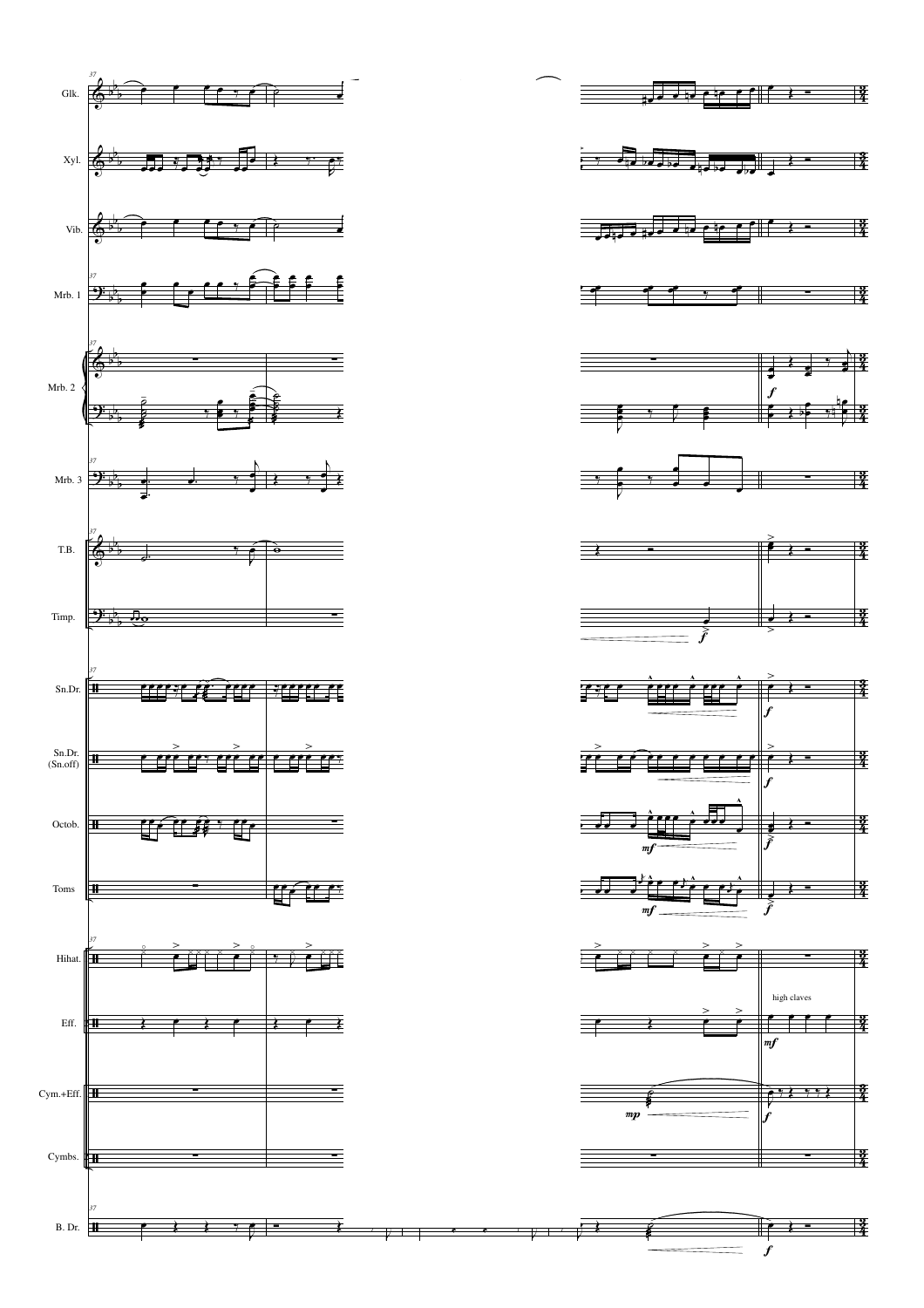



œ

<sup>œ</sup> Œ Œ ‰ <sup>J</sup> œ  $\overline{1}$  $\overline{\mathcal{E}}$ æ f

œ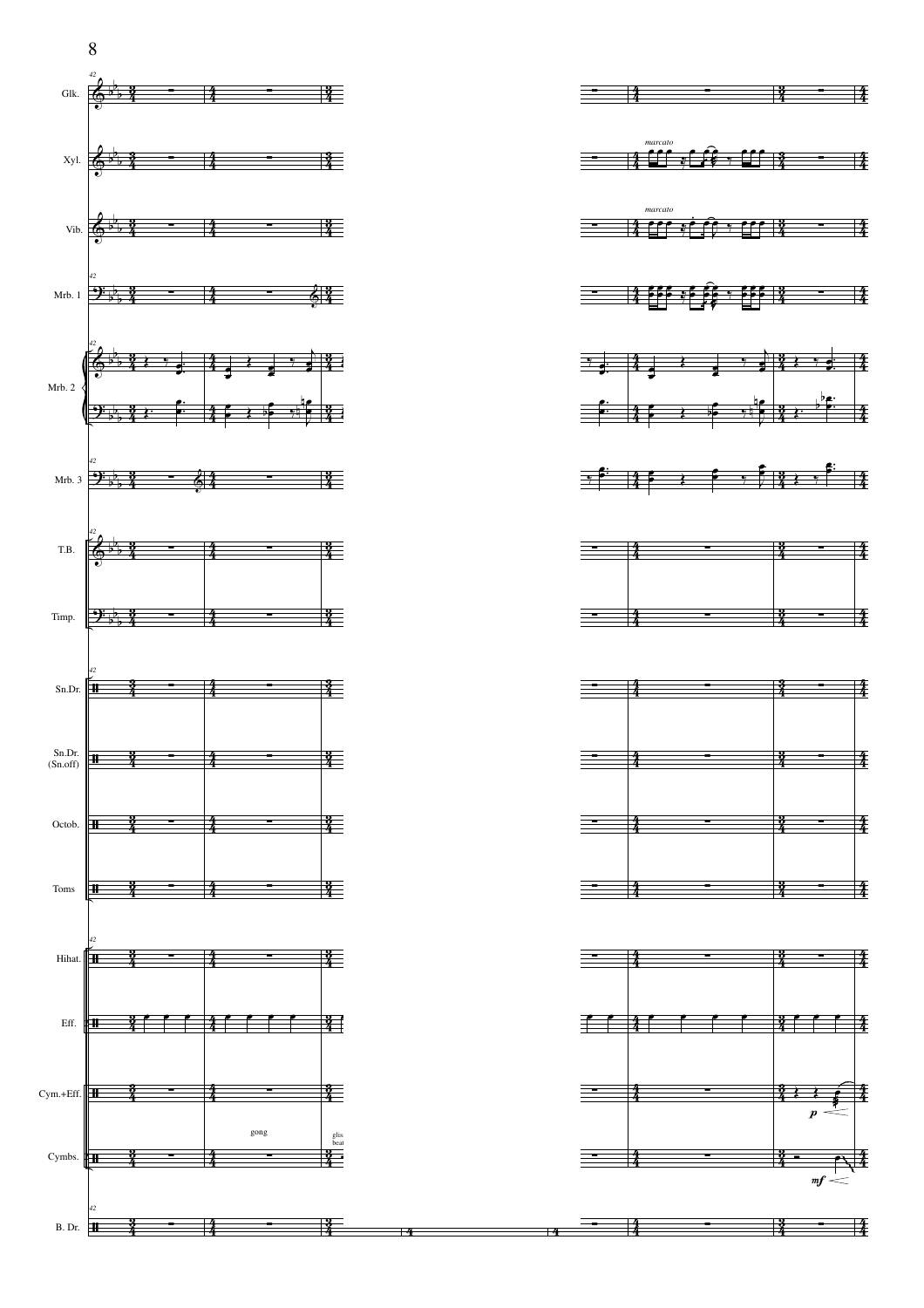



 $-\frac{3}{4}$   $-\frac{4}{4}$ 

4  $\overline{t}$ 

∑

4  $\overline{1}$ 

4 4 ∑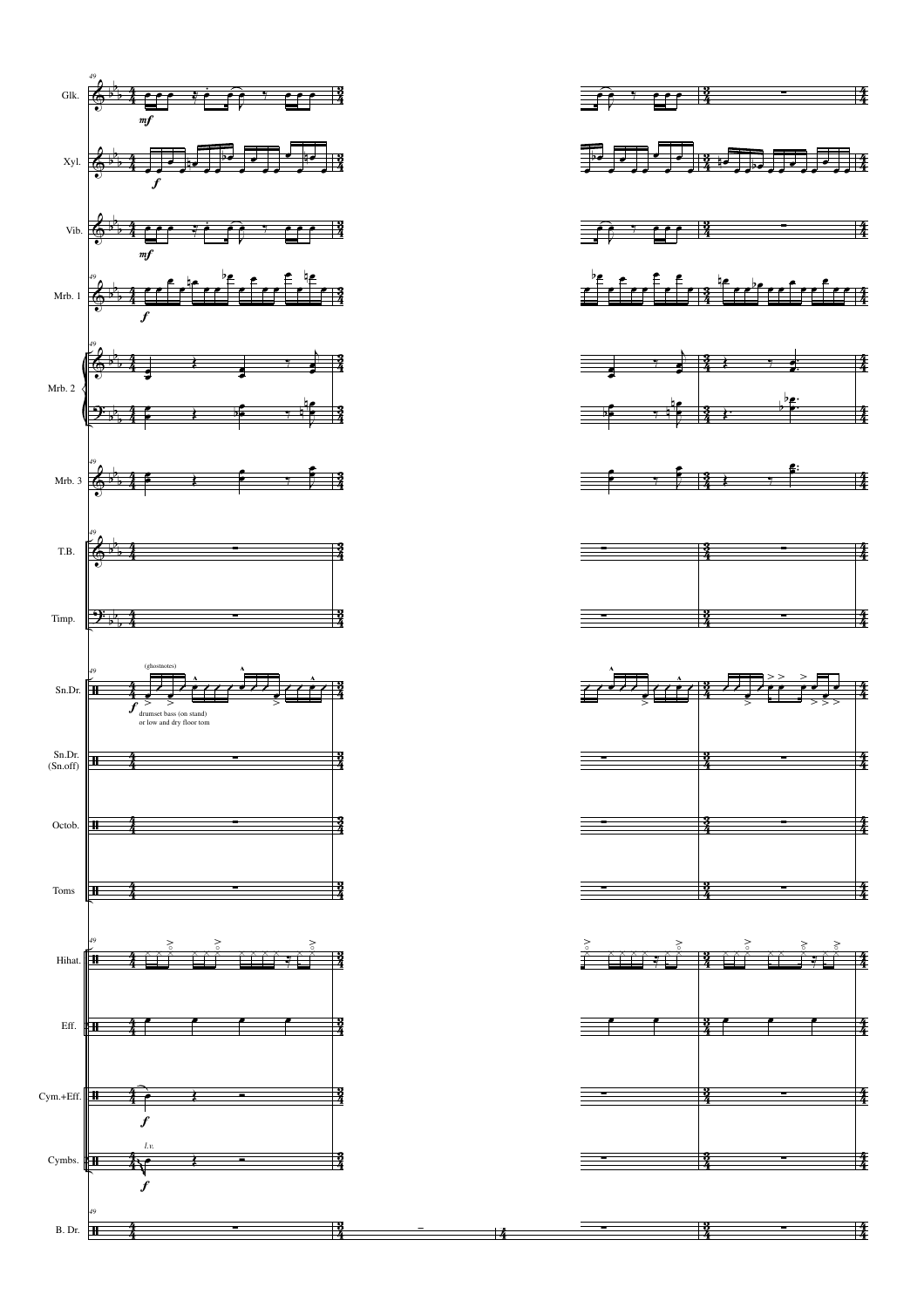



4 3 4 4 −<br>− 3<br>4 ∑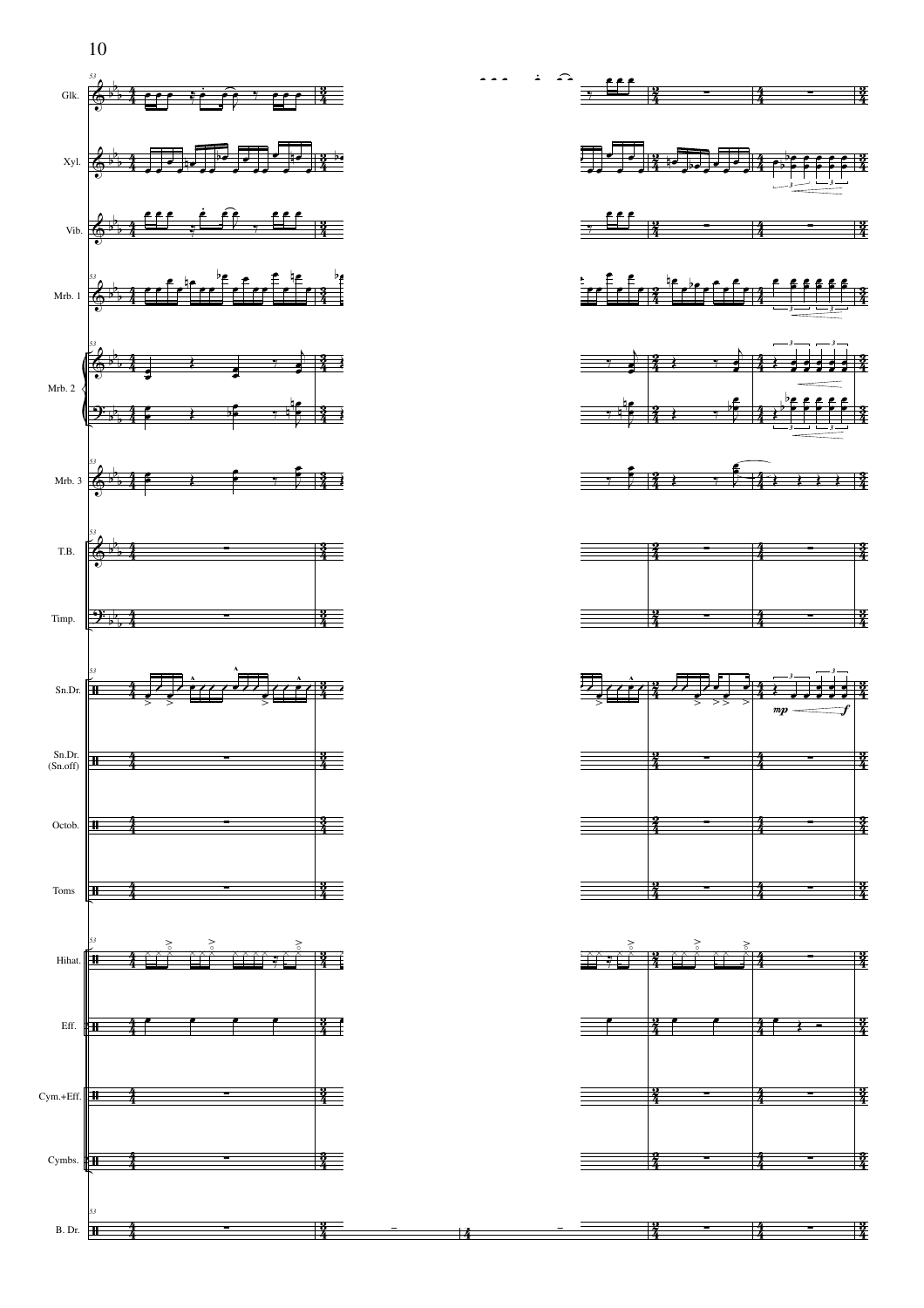



4 4 4 4 3 4  $\frac{3}{4}$  -  $\frac{3}{4}$ ∑ ∑ ∑ <u> Territoria de la p</u> 4

**. . .**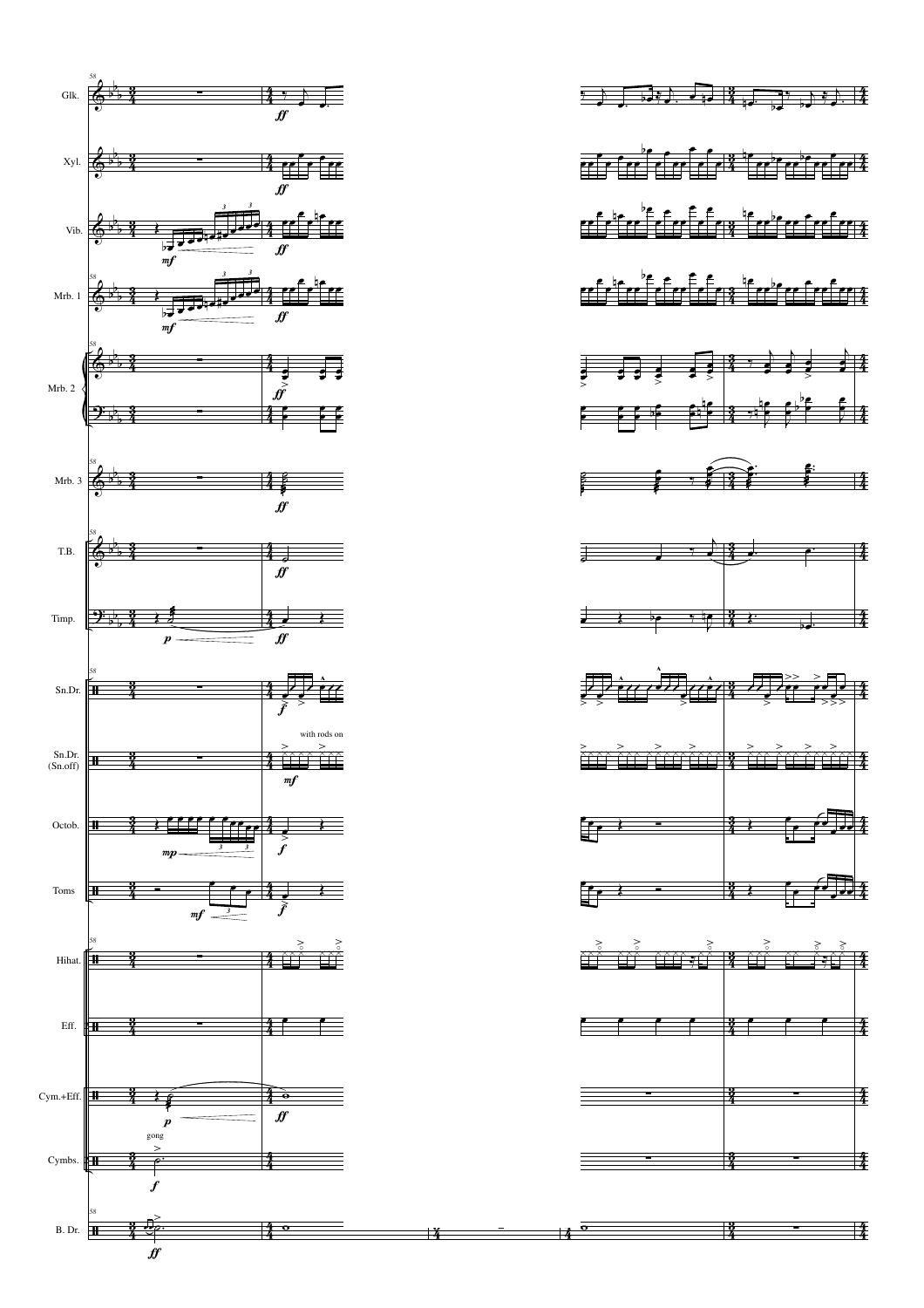

4 .<br>پ

∑

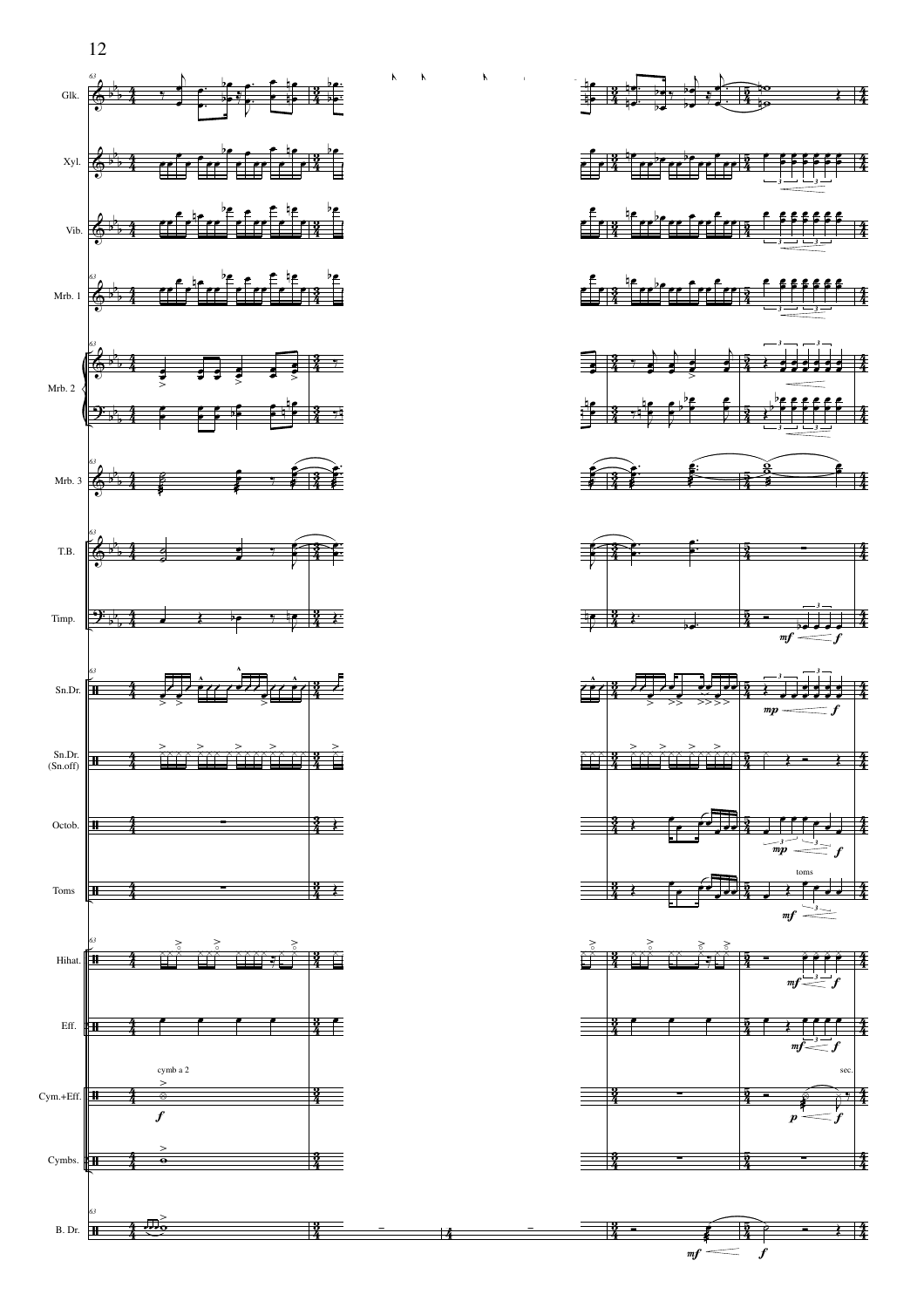

4 4

∑

∑

 $\lambda$ œ

 $\lambda$ œ

 $\lambda$ œ

b



 $mf$ 

f

 $\leq$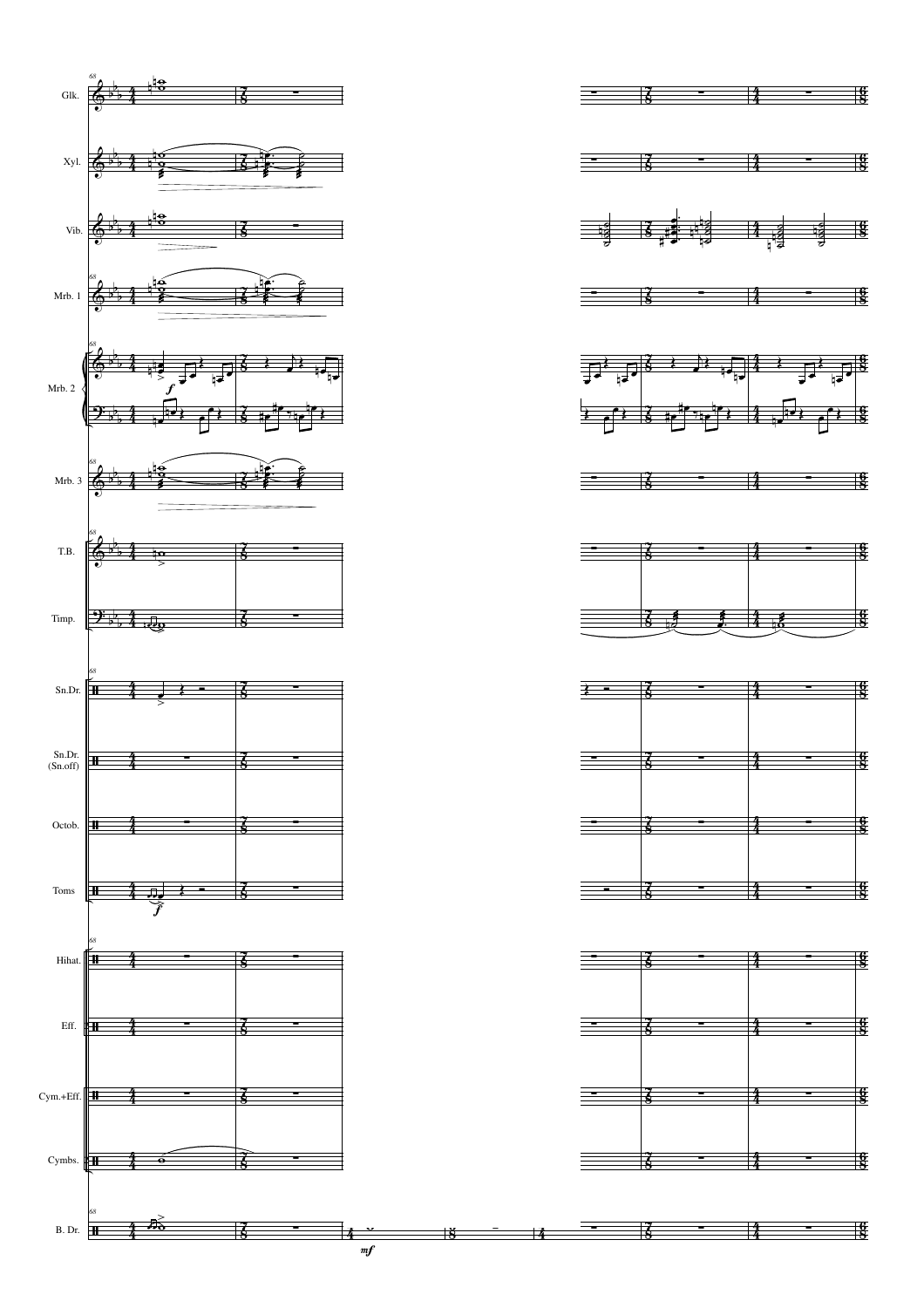



w  $m f$  8 6

∑

4 4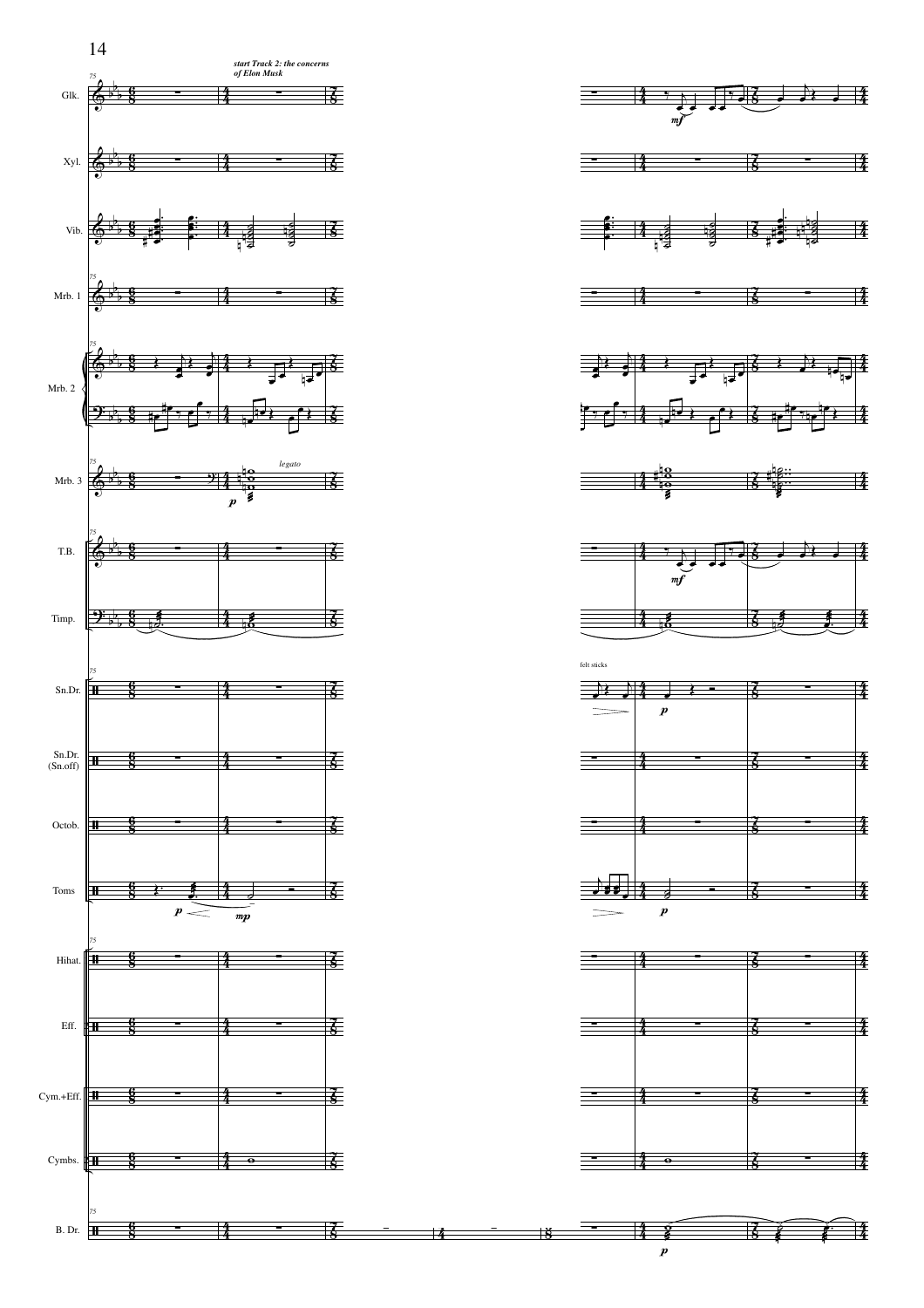





4 4

4 4

∑

∑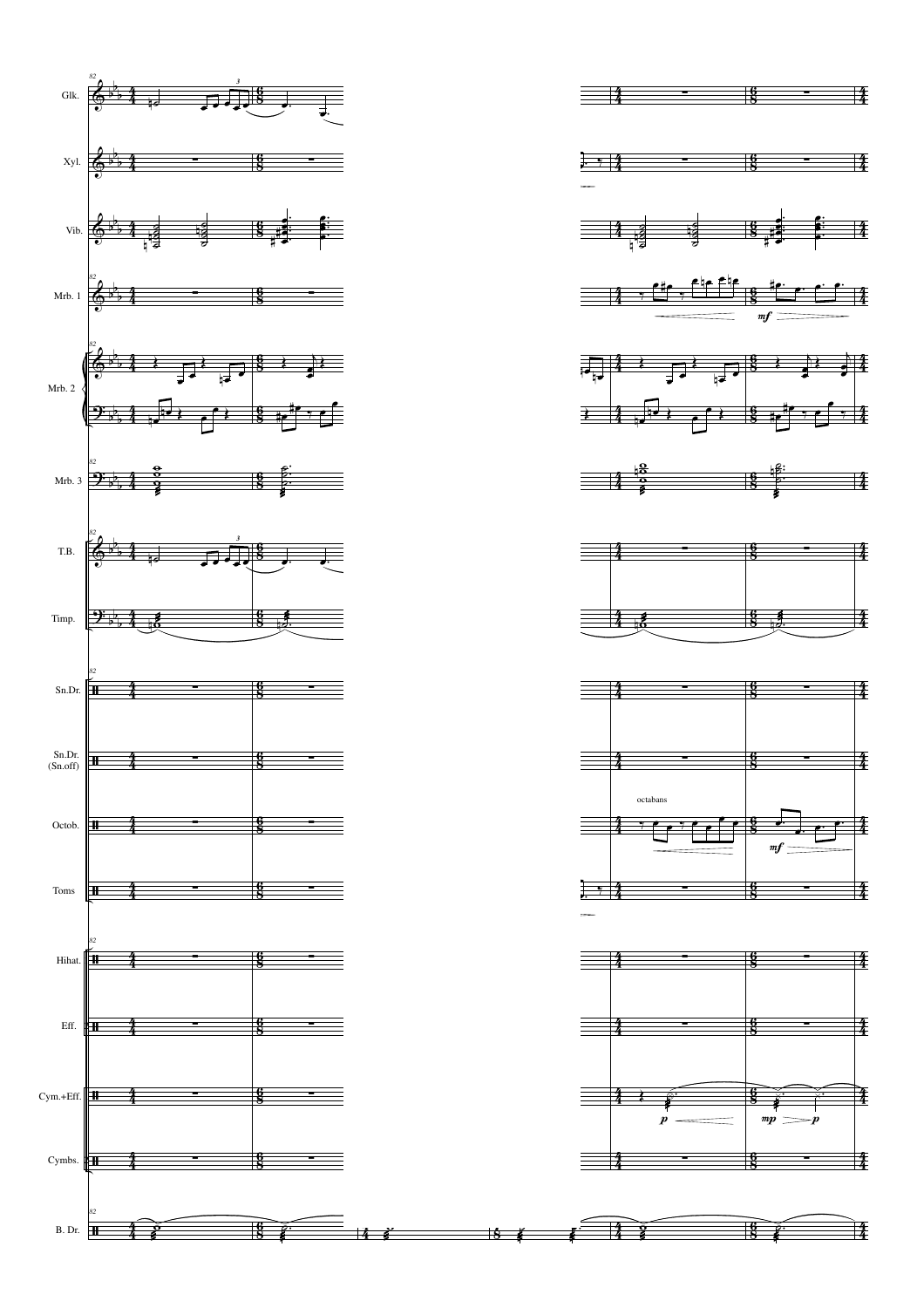



8 6 4 4 w 8 .<br>\*  $\epsilon = 4$ 8 6 4 4 ˙. æ æ ˙ æ æ w æ ˙. æ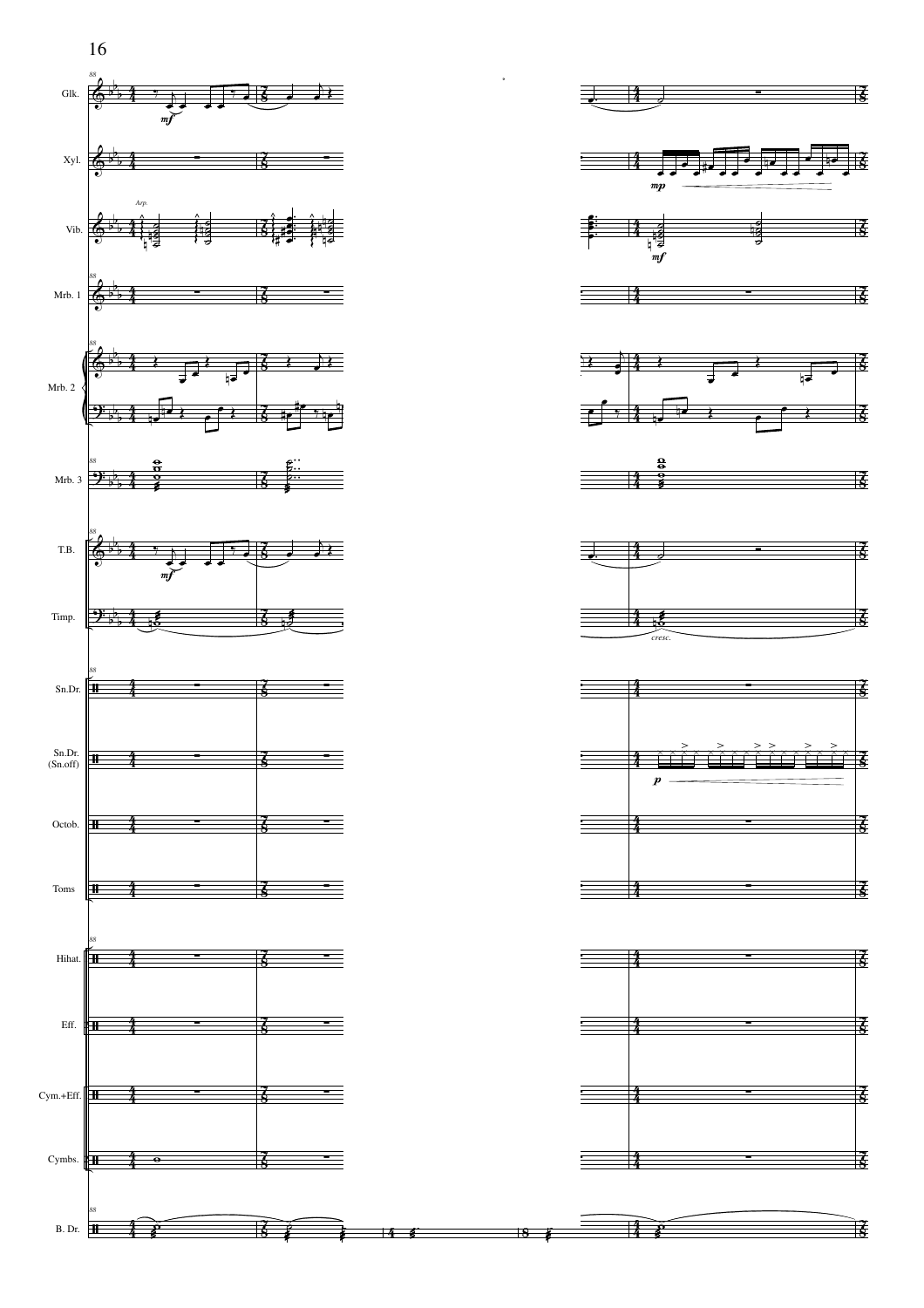



*3*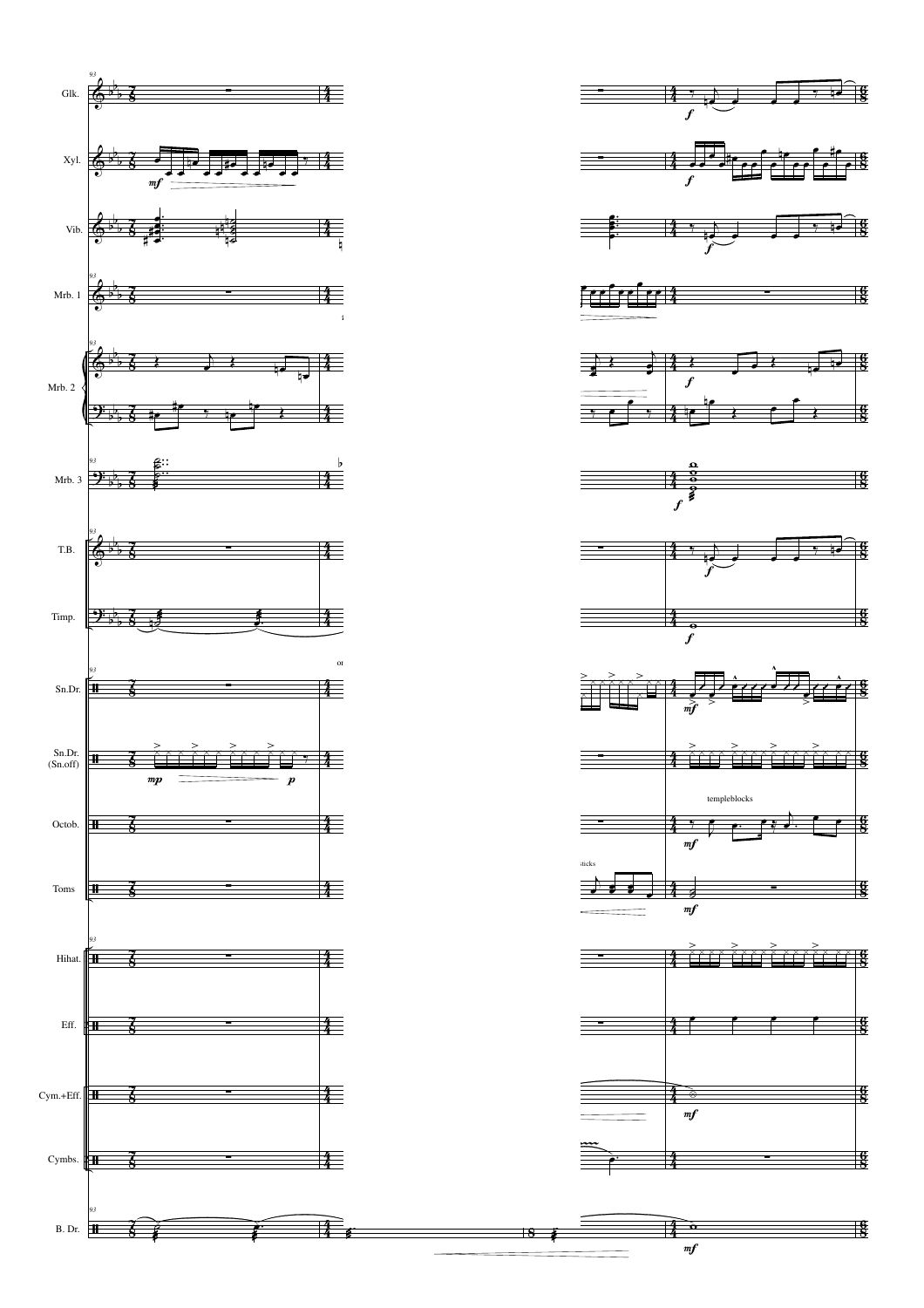



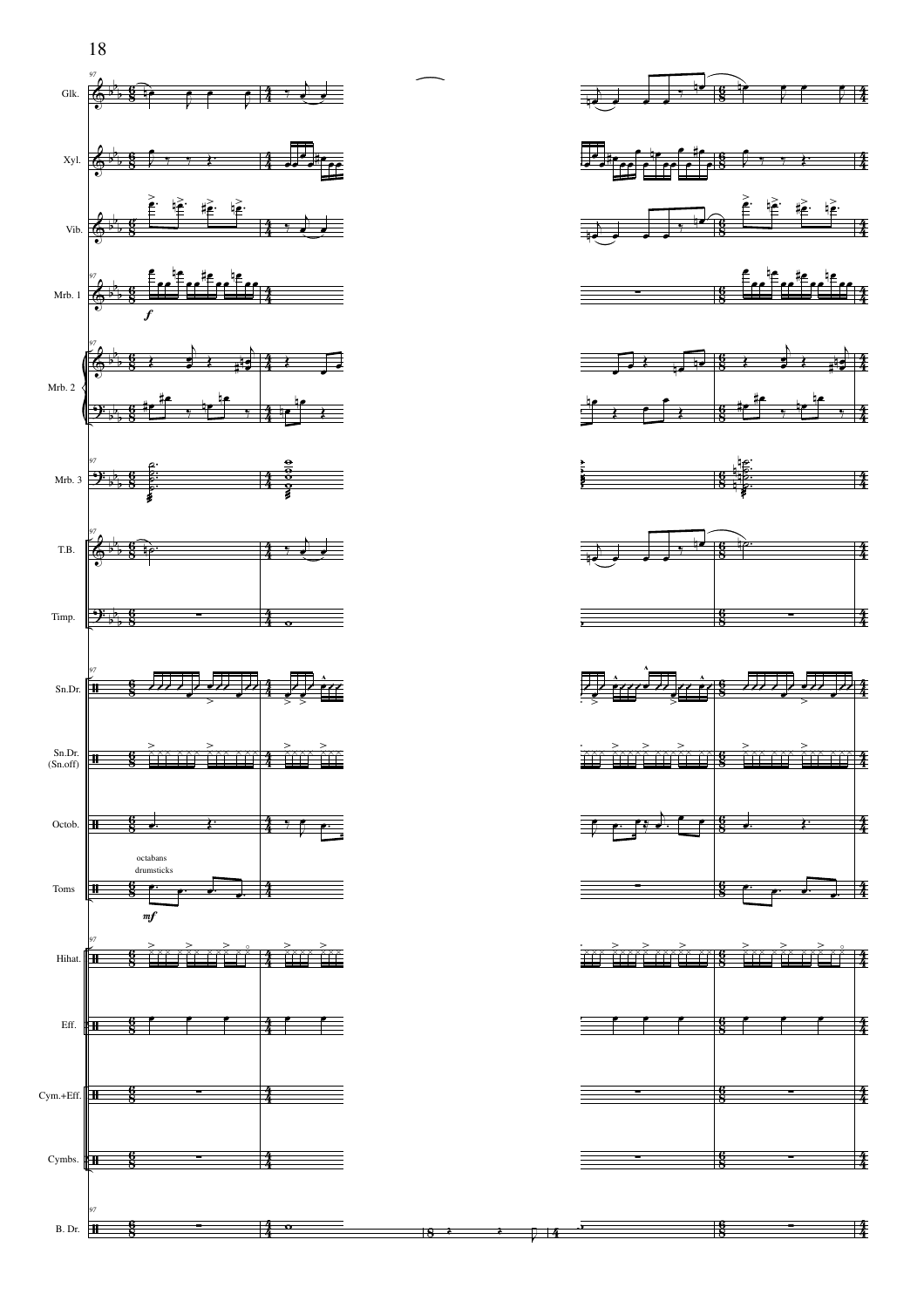



 $\frac{6}{8}$   $\frac{4}{4}$ 

8 6

 $\ddot{\cdot}$ 

4 4

 $\overline{v}$ 

J œ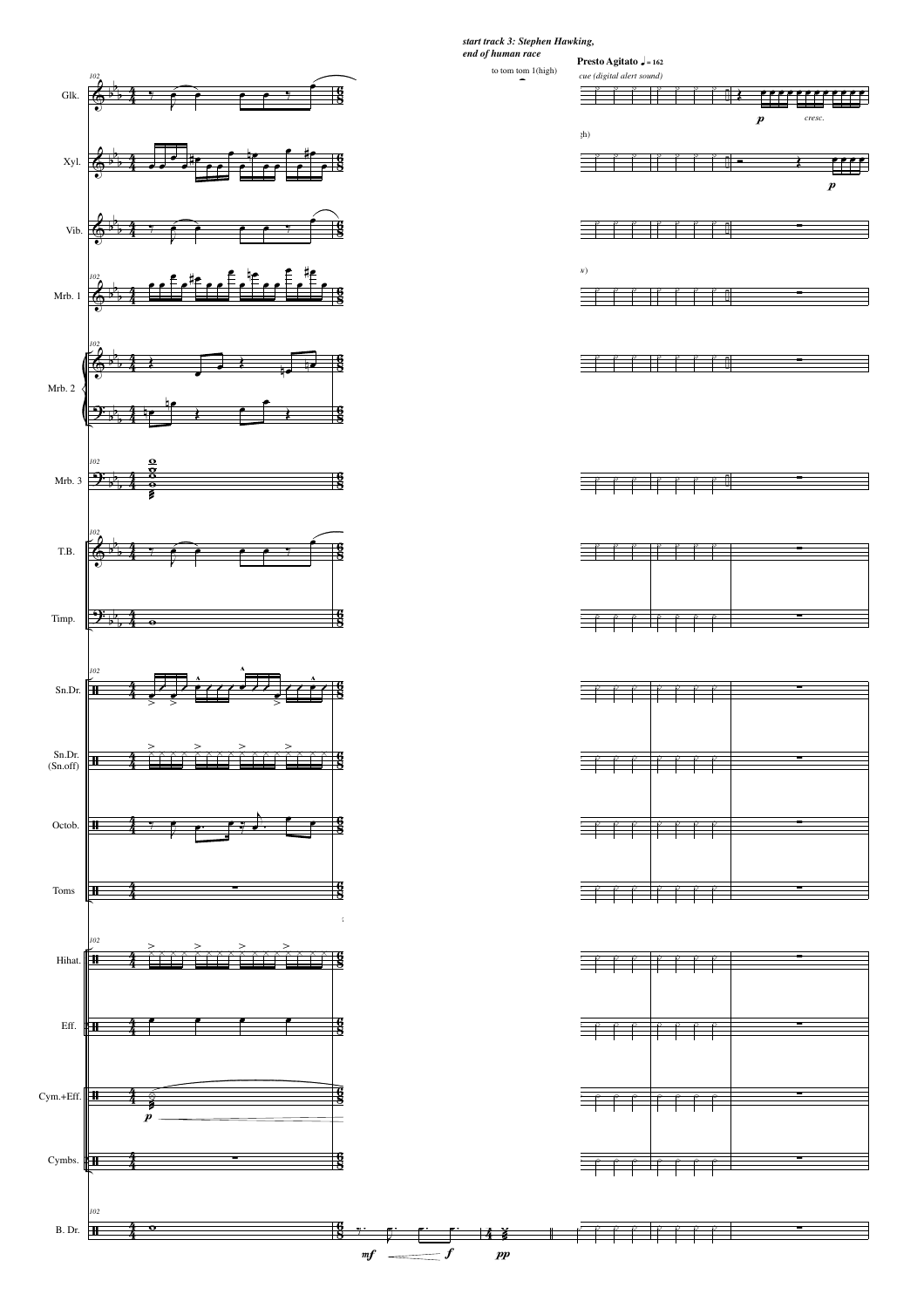

*start track 3: Stephen Hawking, end of human race*













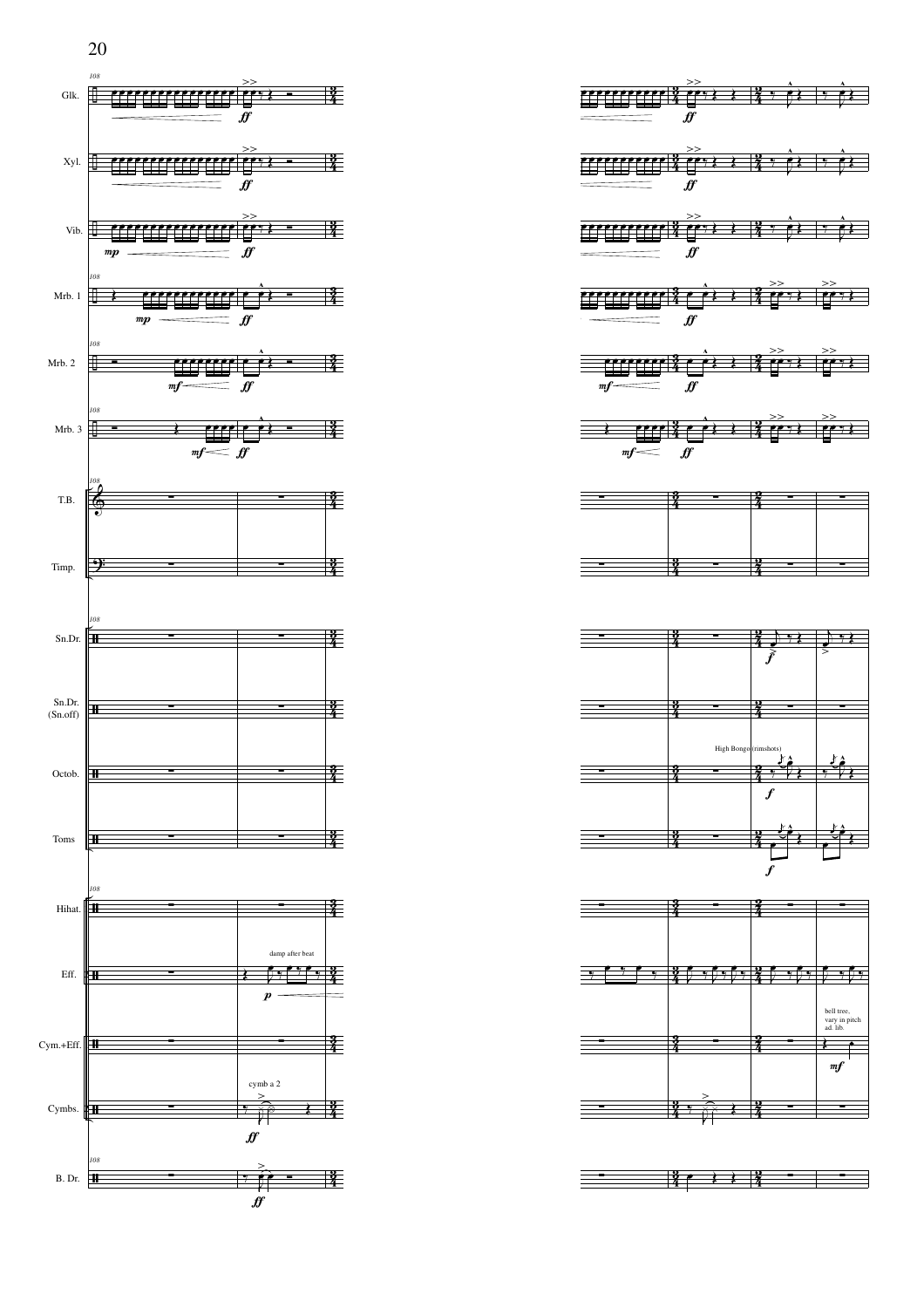





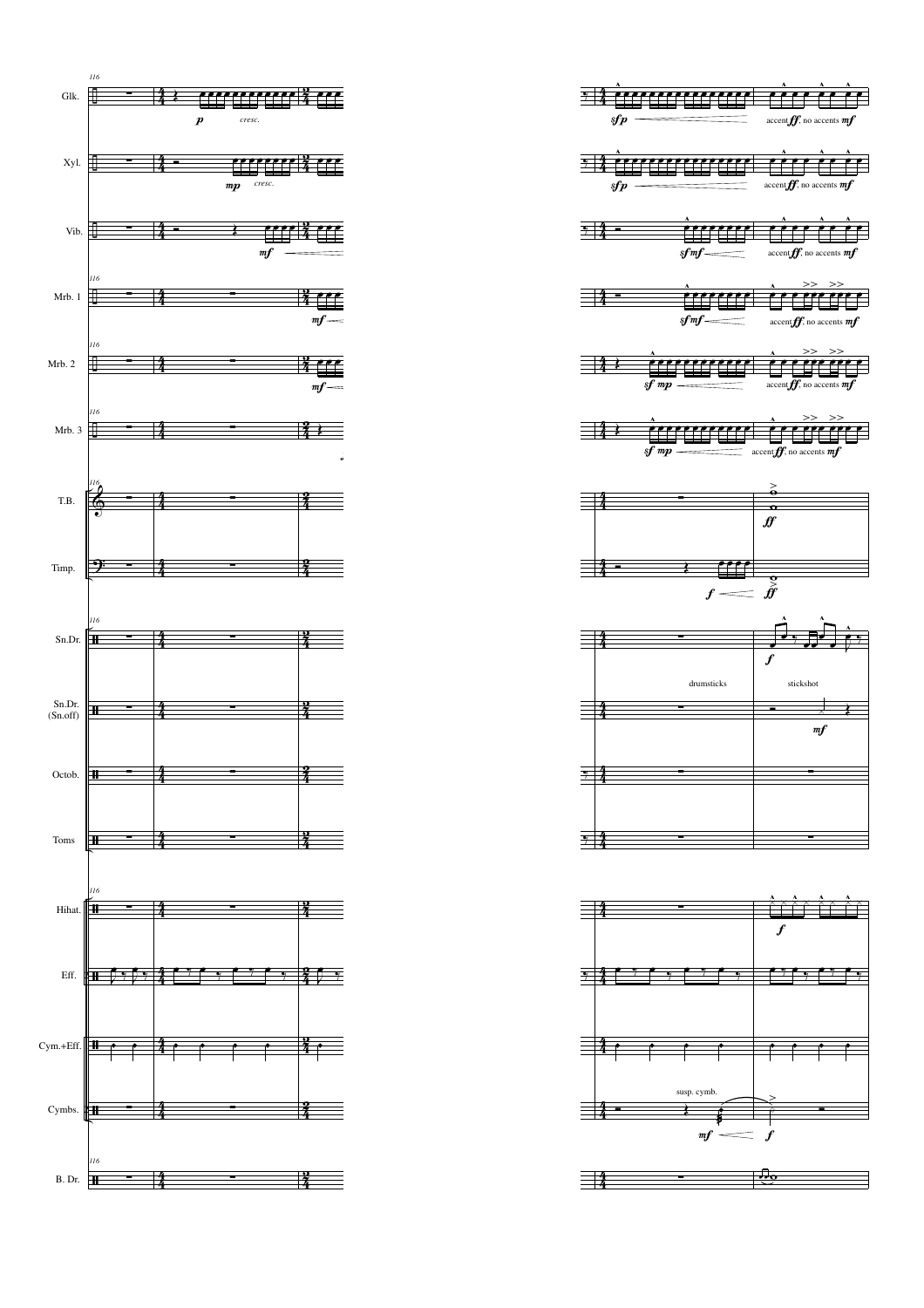





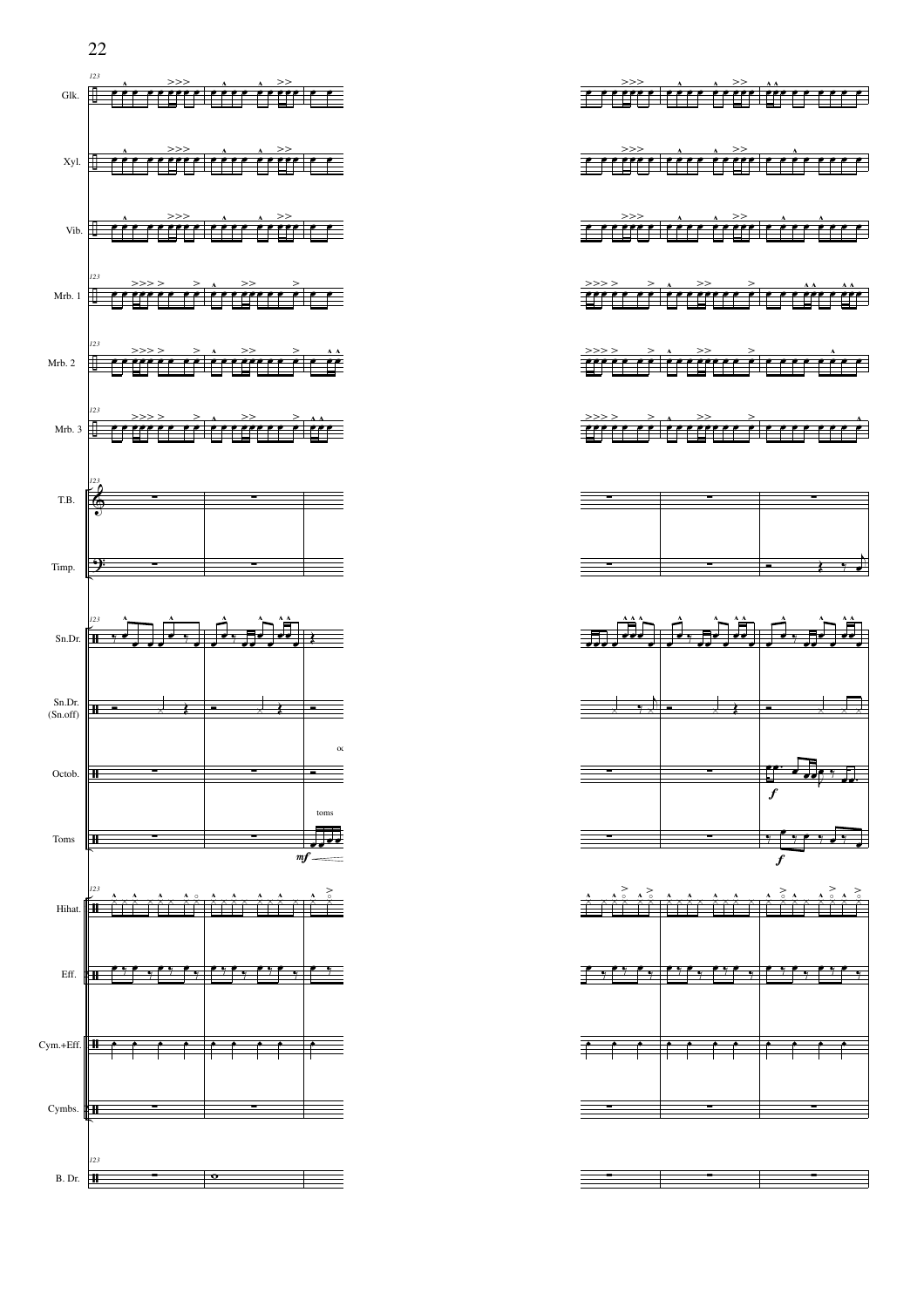

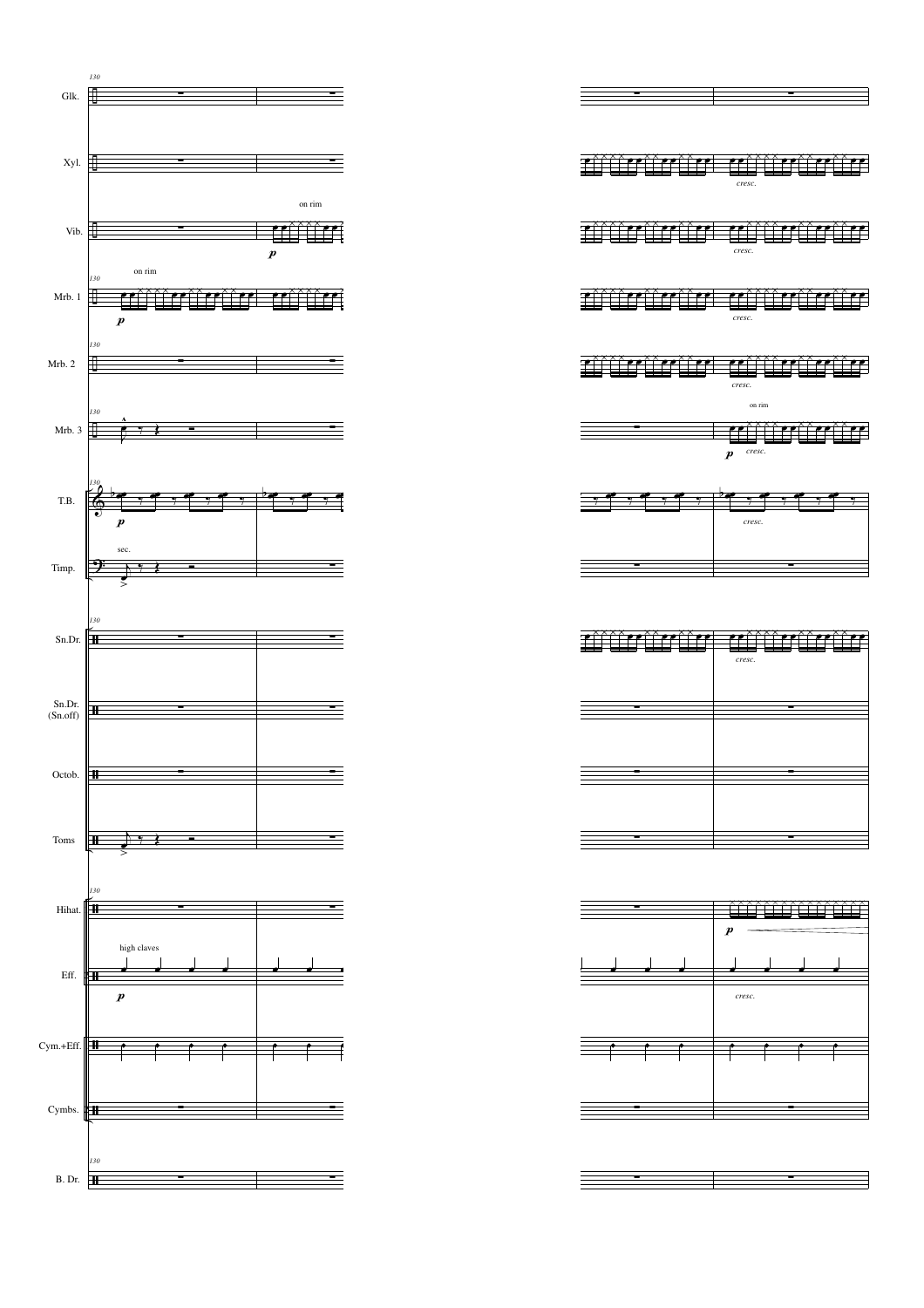



|   | cresc. |
|---|--------|
|   |        |
|   |        |
|   |        |
|   |        |
|   |        |
|   |        |
|   |        |
|   |        |
|   |        |
|   |        |
|   |        |
|   |        |
|   |        |
|   |        |
|   |        |
|   |        |
|   |        |
|   |        |
|   |        |
|   |        |
|   |        |
|   |        |
|   |        |
|   |        |
|   |        |
|   |        |
|   |        |
|   |        |
| - |        |
|   |        |
|   |        |
|   |        |
|   |        |
|   |        |
|   |        |
|   |        |
|   |        |
|   |        |
|   |        |
|   |        |
|   |        |
|   |        |
|   |        |
|   |        |
|   |        |
| ▬ | ▬      |
|   |        |
|   |        |
|   |        |
|   |        |

| - | $\boldsymbol{p}$ |
|---|------------------|
|   |                  |
|   | cresc.           |
|   |                  |
|   |                  |
| ▬ | ╾                |
|   |                  |

| ______ | ______ |
|--------|--------|
|        |        |
|        |        |
|        |        |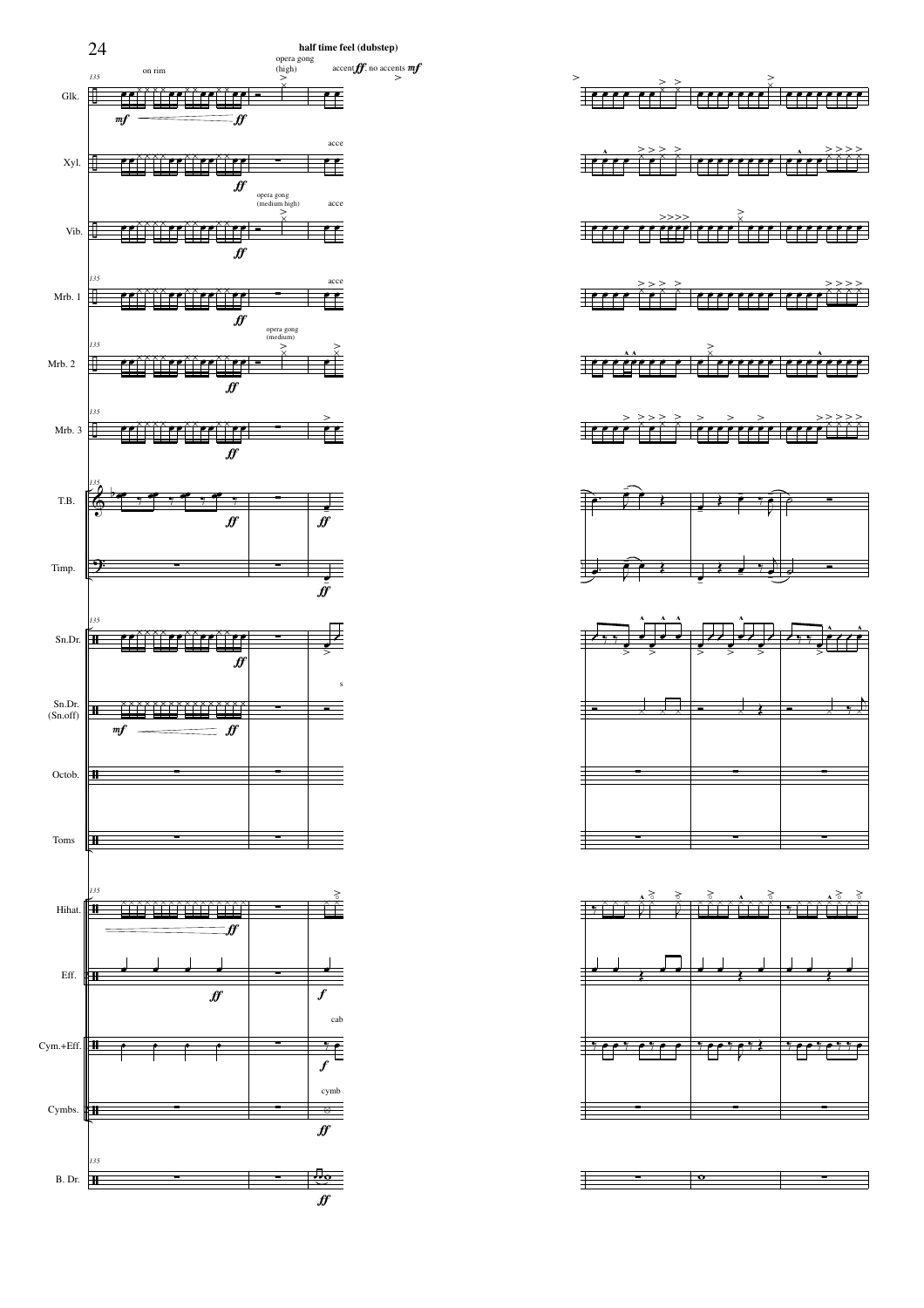



|  | ____            |
|--|-----------------|
|  |                 |
|  |                 |
|  | ______<br>_____ |

 $\blacksquare$ 

 $\sim$   $\sim$ 

<u> Tanzania (</u>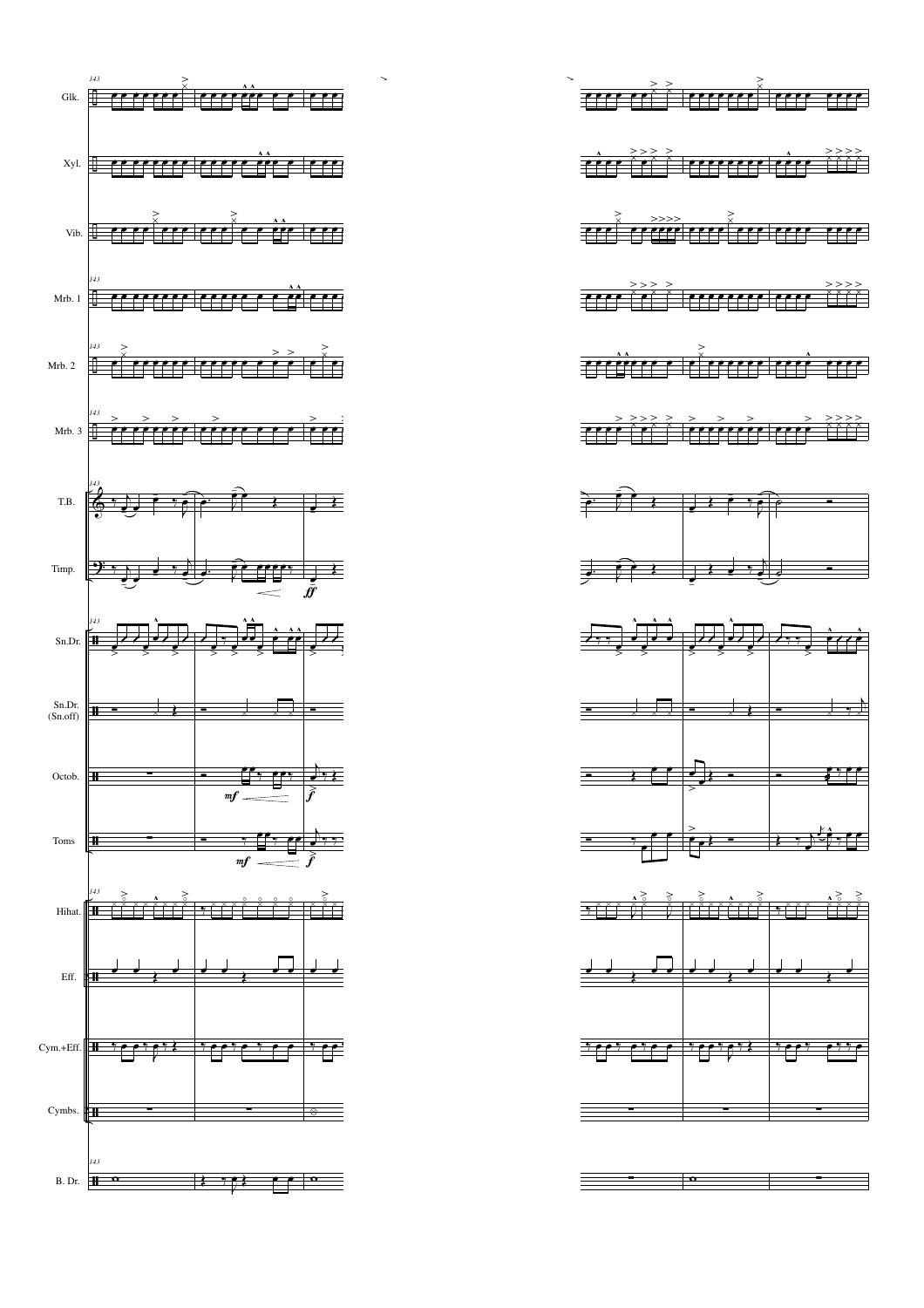



| ______ |  |
|--------|--|
|        |  |
|        |  |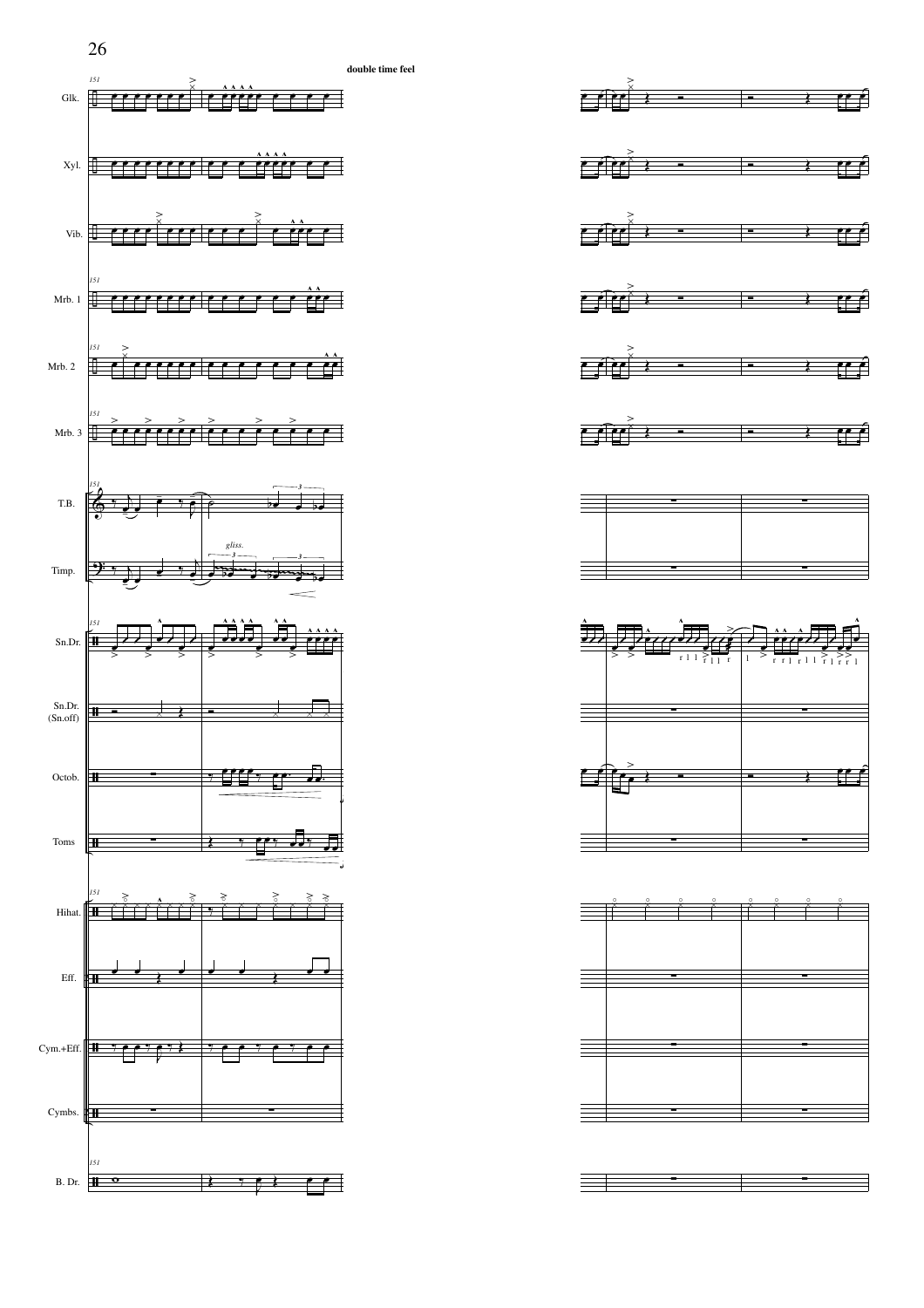





|        | <u> 1989 - Jan Steffenson, Amerikaansk politiker († 1908)</u> | the contract of the contract of the<br>____ |
|--------|---------------------------------------------------------------|---------------------------------------------|
| $\sim$ |                                                               |                                             |
|        |                                                               |                                             |
|        |                                                               |                                             |
|        |                                                               |                                             |
|        |                                                               |                                             |
|        |                                                               |                                             |
|        |                                                               |                                             |
|        |                                                               |                                             |
|        |                                                               |                                             |
|        |                                                               |                                             |
|        |                                                               |                                             |
|        | ———                                                           | ——                                          |
| ____   |                                                               |                                             |
|        |                                                               |                                             |
|        |                                                               |                                             |
|        |                                                               |                                             |
|        |                                                               |                                             |
|        |                                                               |                                             |
|        |                                                               |                                             |
|        |                                                               |                                             |
|        |                                                               |                                             |
|        |                                                               |                                             |
|        | -                                                             | -                                           |
|        |                                                               |                                             |
|        |                                                               |                                             |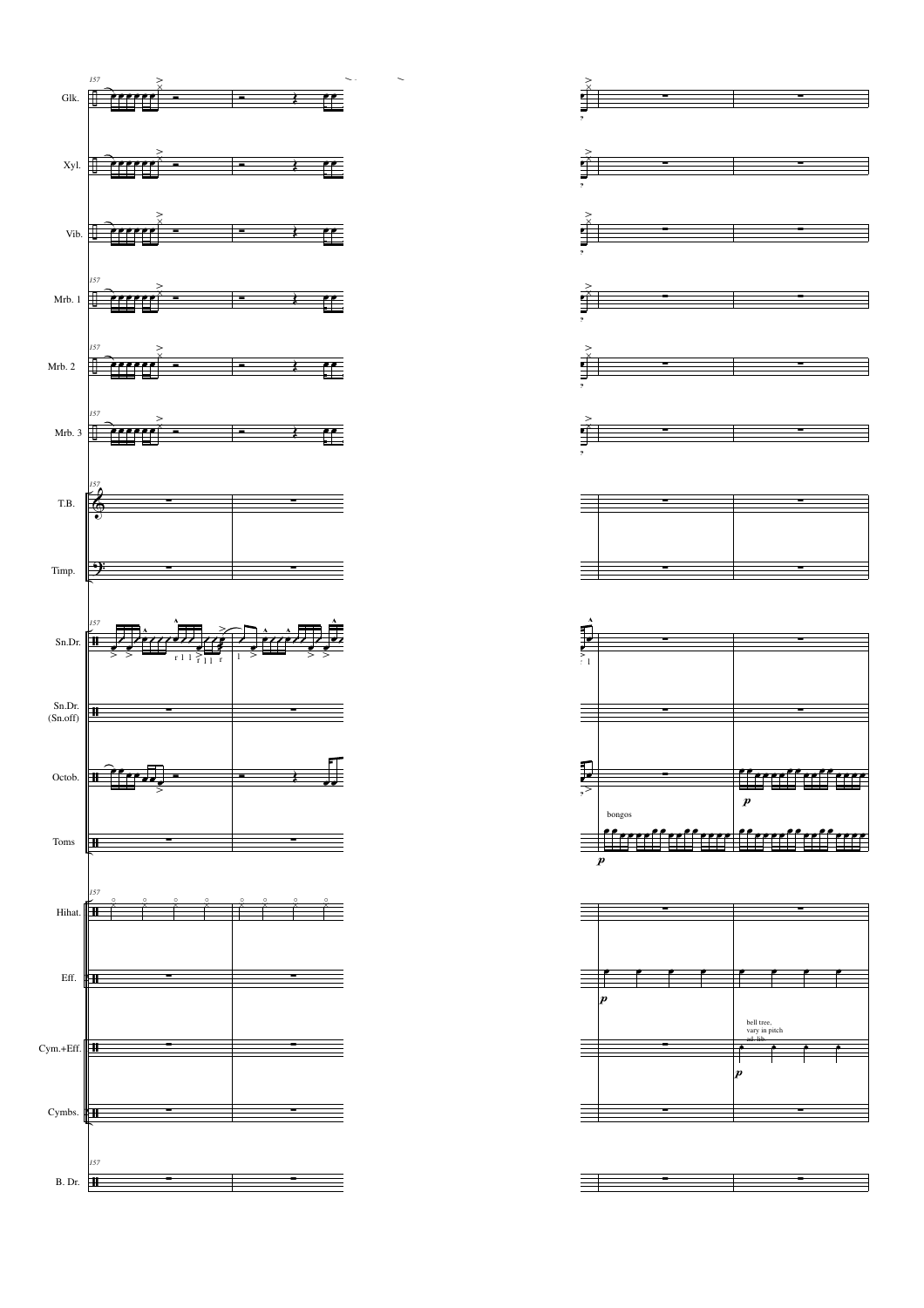





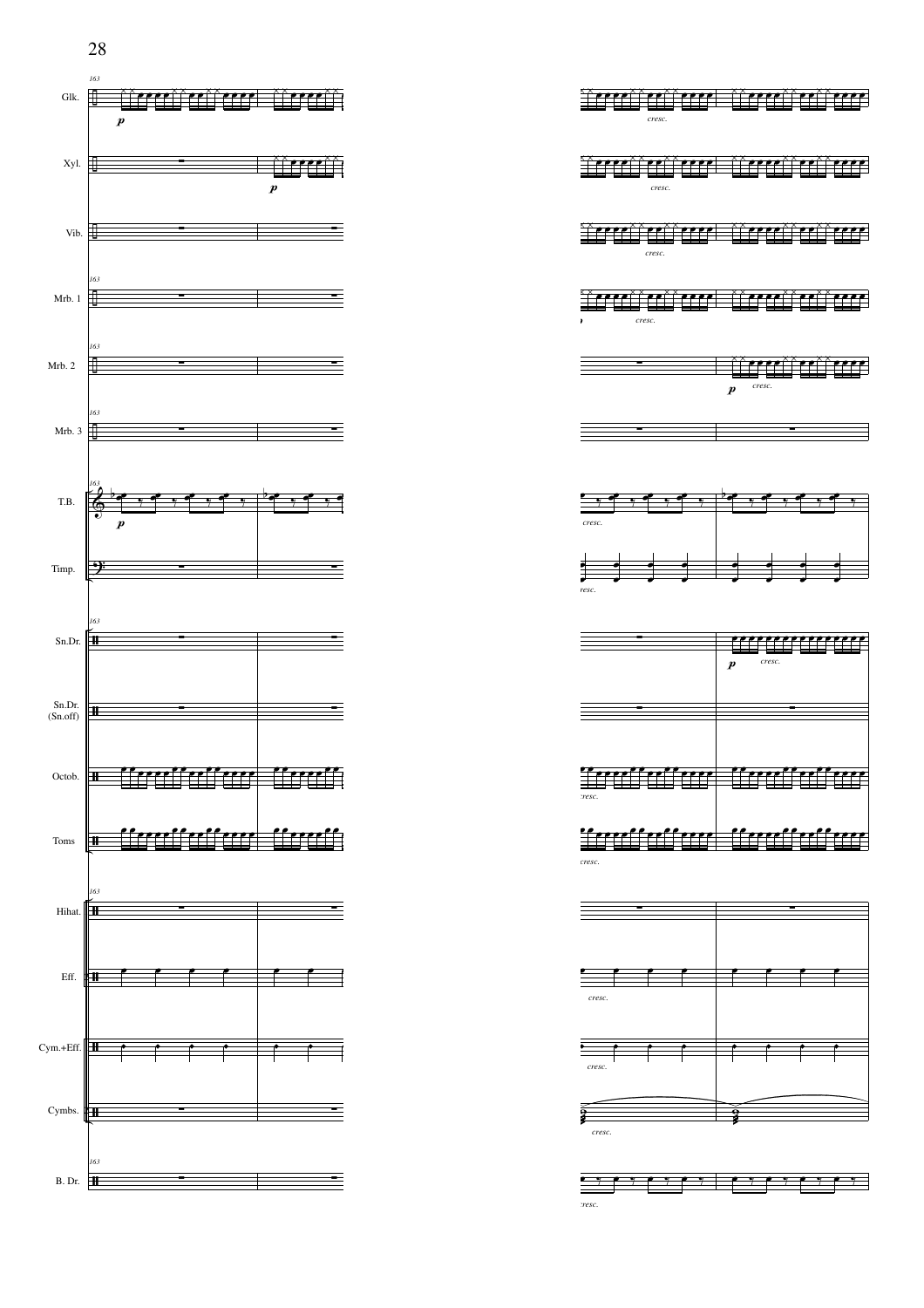





 $\overline{a}$ 

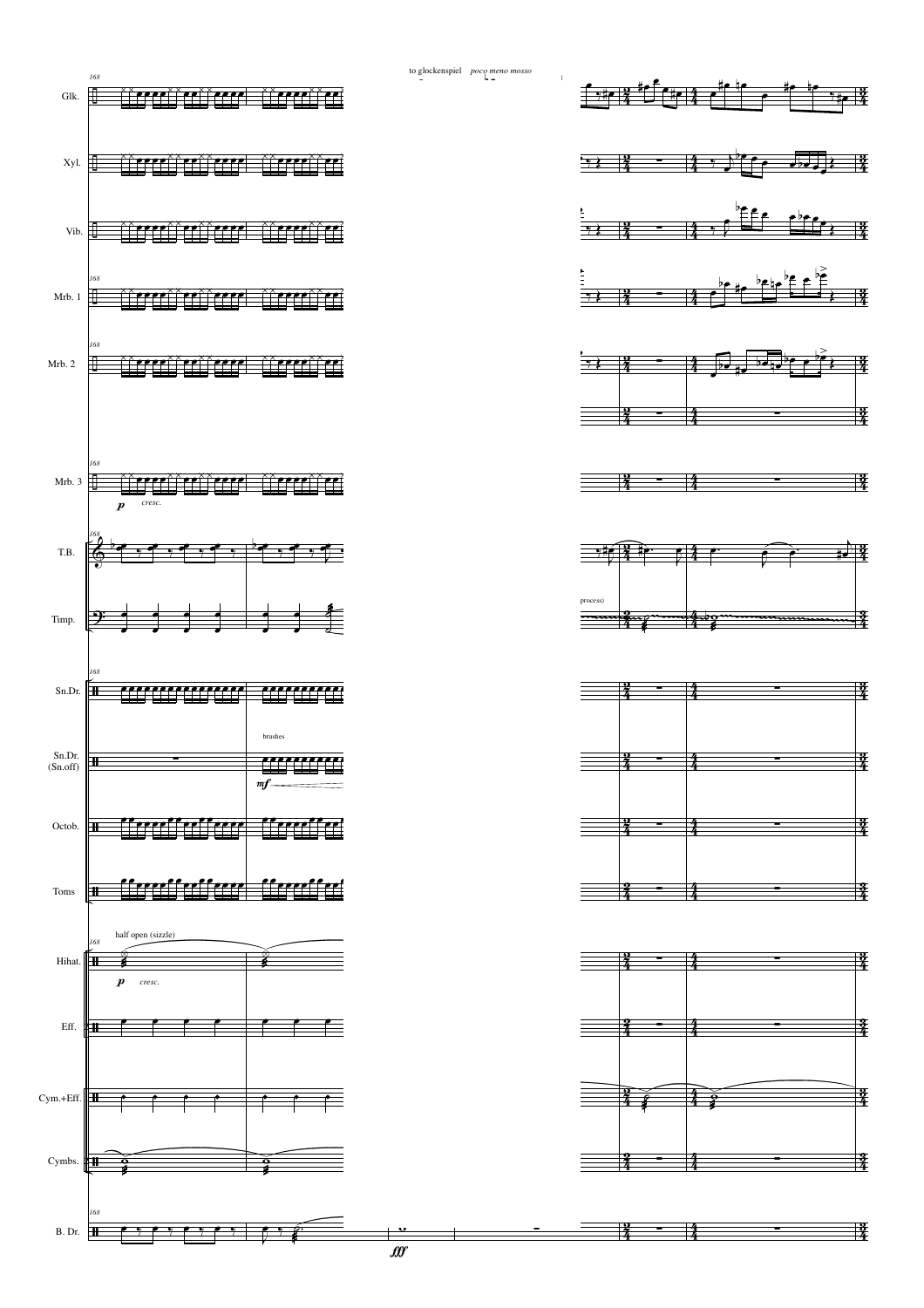



 $f\!f\!f$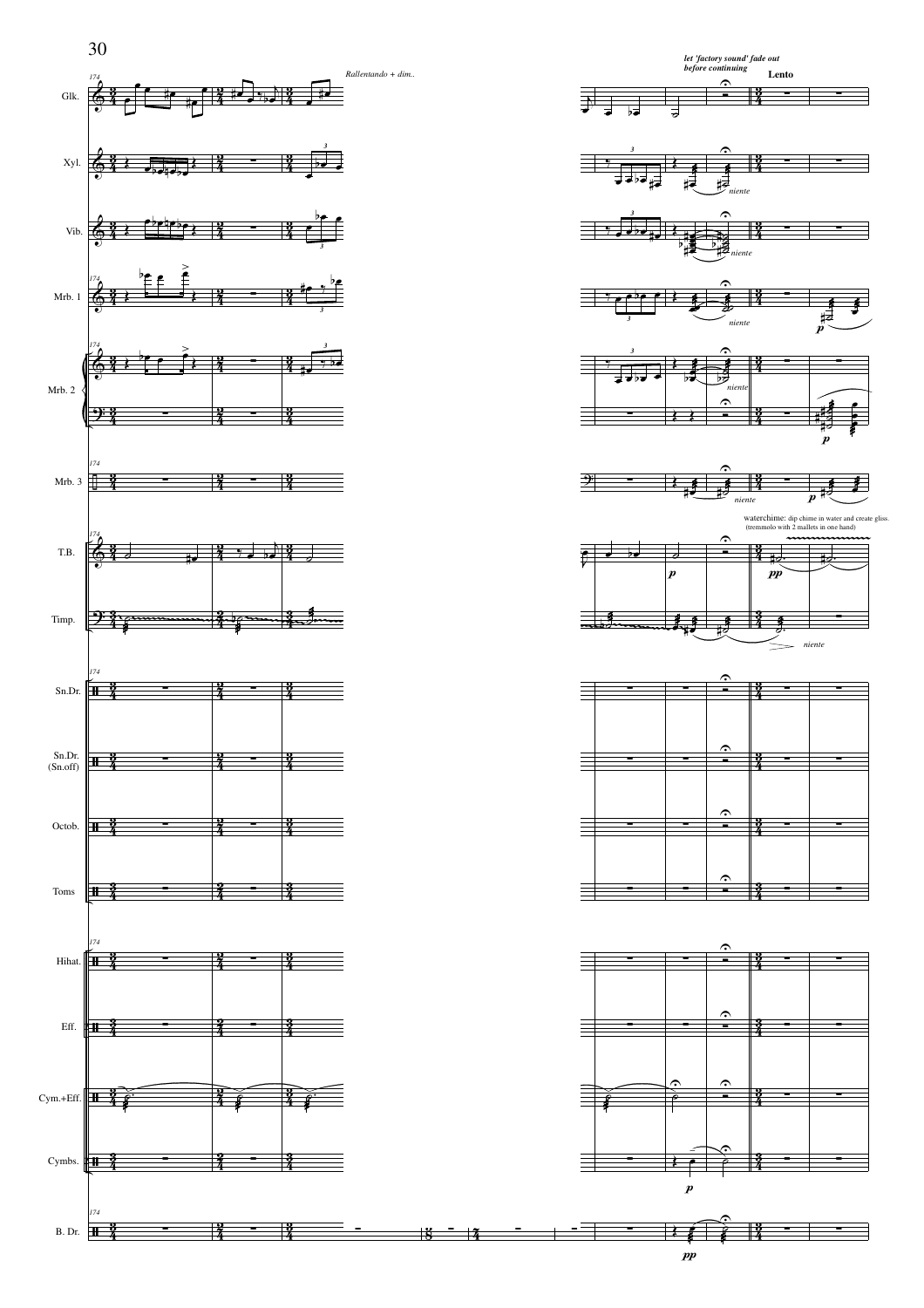





˙ æ  $\hat{\mathbf{C}}$ 

æ  $\boldsymbol{pp}$ 

 $\overline{\mathcal{X}}$ 

4 3

∑

∑

8 3 4 2 ∑

∑

∑

 $\overline{\phantom{0}}$ 

∑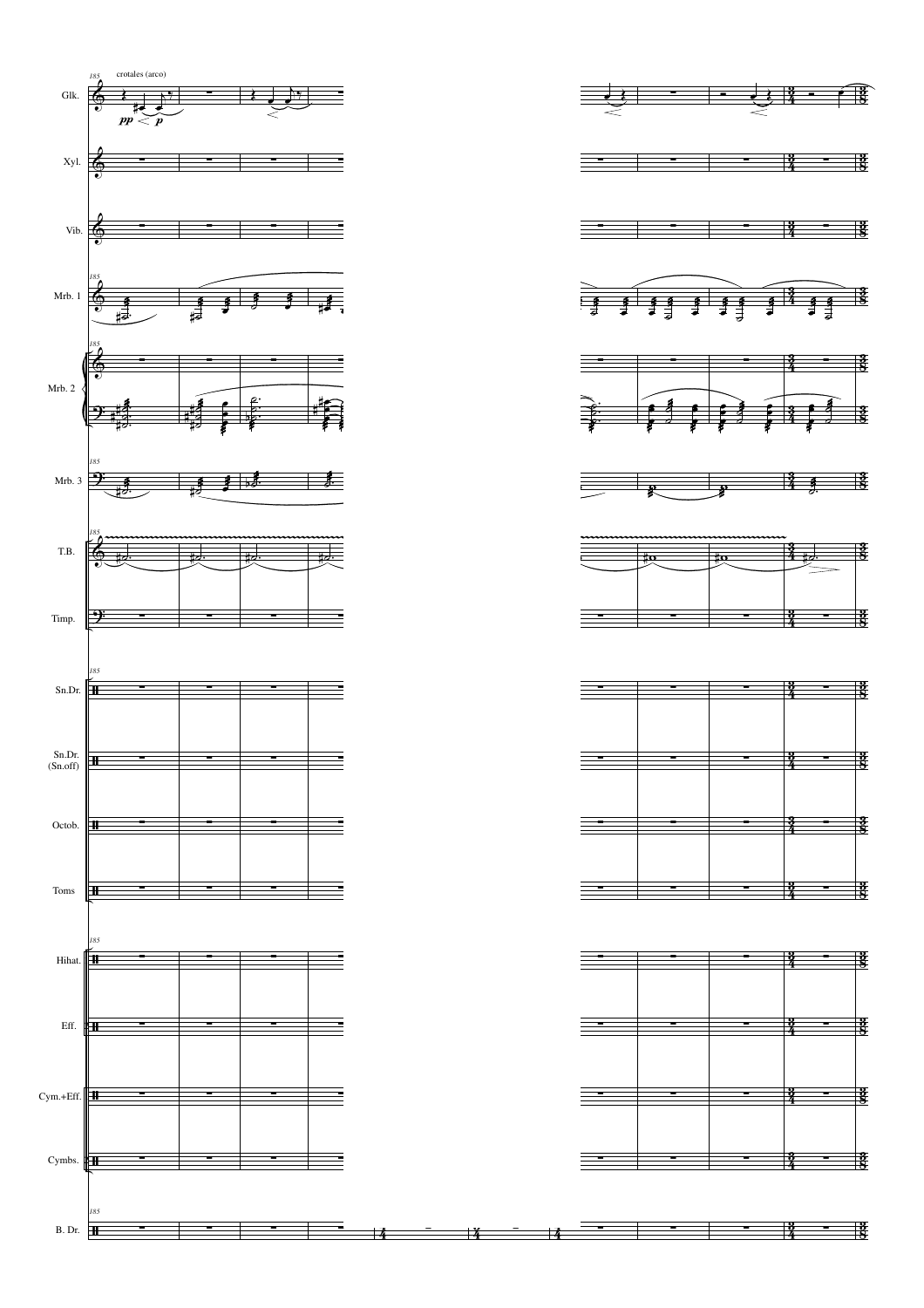

4 4

∑

4 3

∑

4 4











4 3 8 3 ∑ ∑ ∑ ∑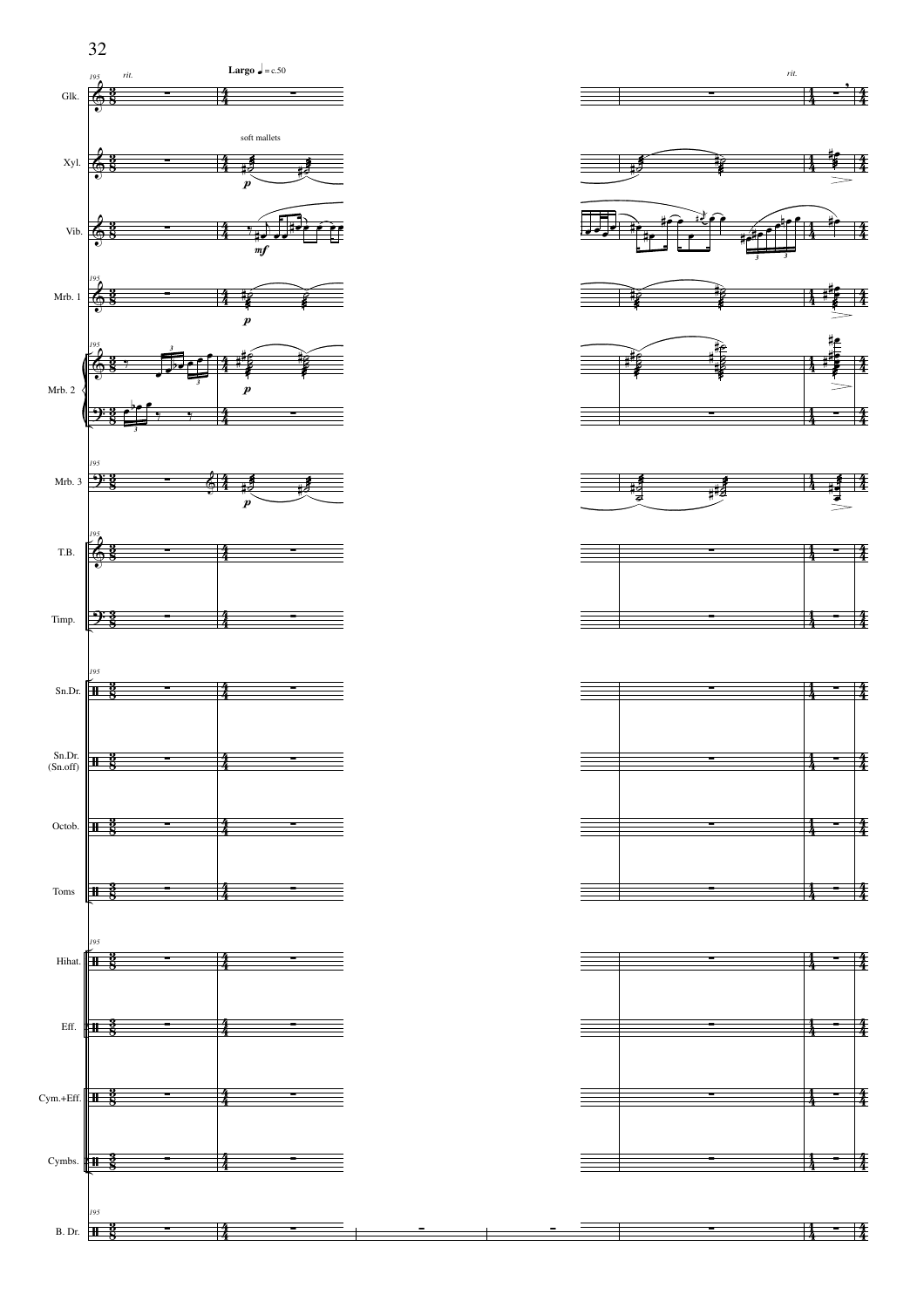



 $\frac{1}{4} - \frac{4}{4}$ ∑ ∑ ∑  $\equiv$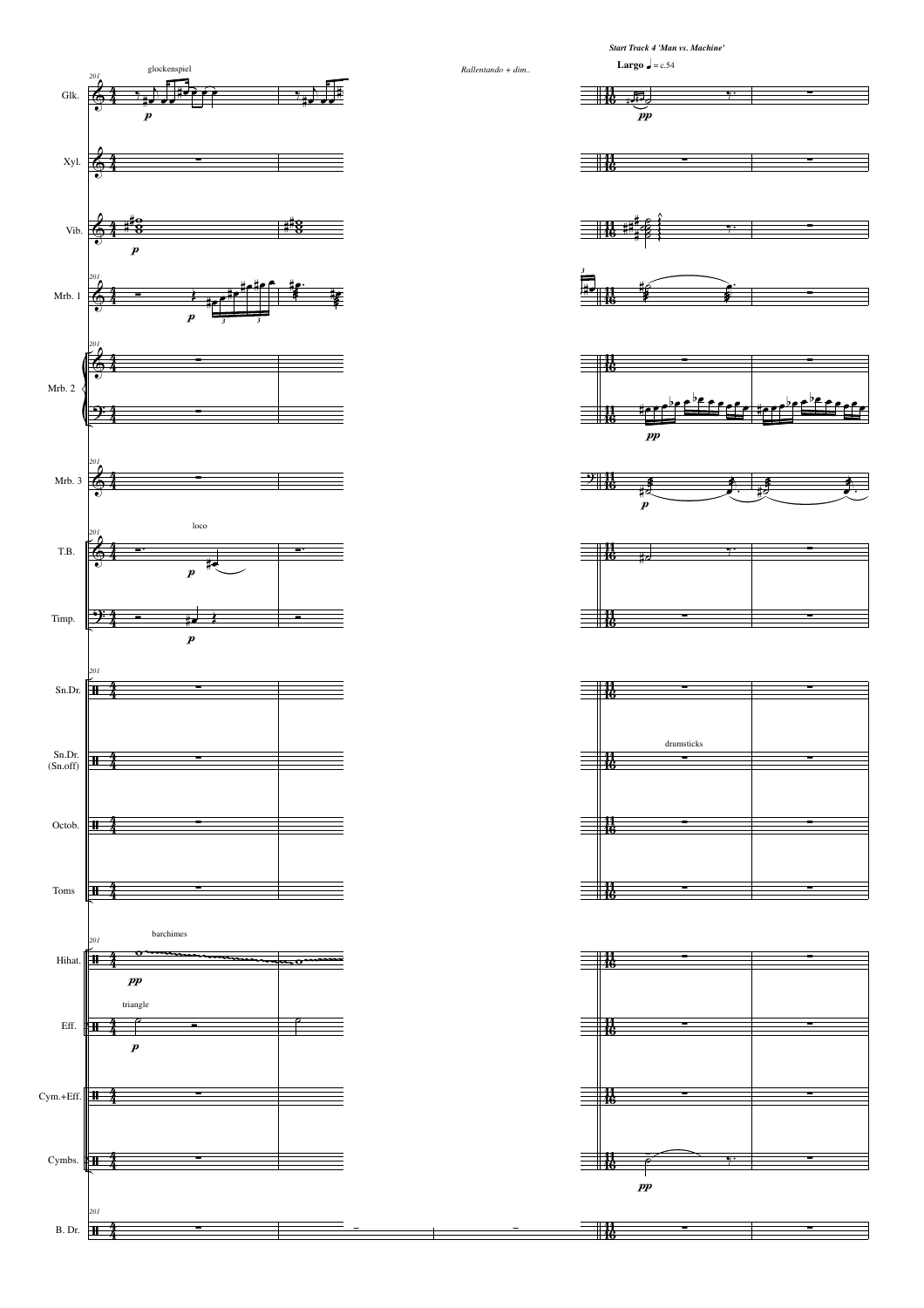

**Largo**  $\sqrt{ }$  = c.54 *Start Track 4 'Man vs. Machine'*

*Rallentando + dim..*



















∑

Ξ

 $\equiv$ 

11<br>16 −

∑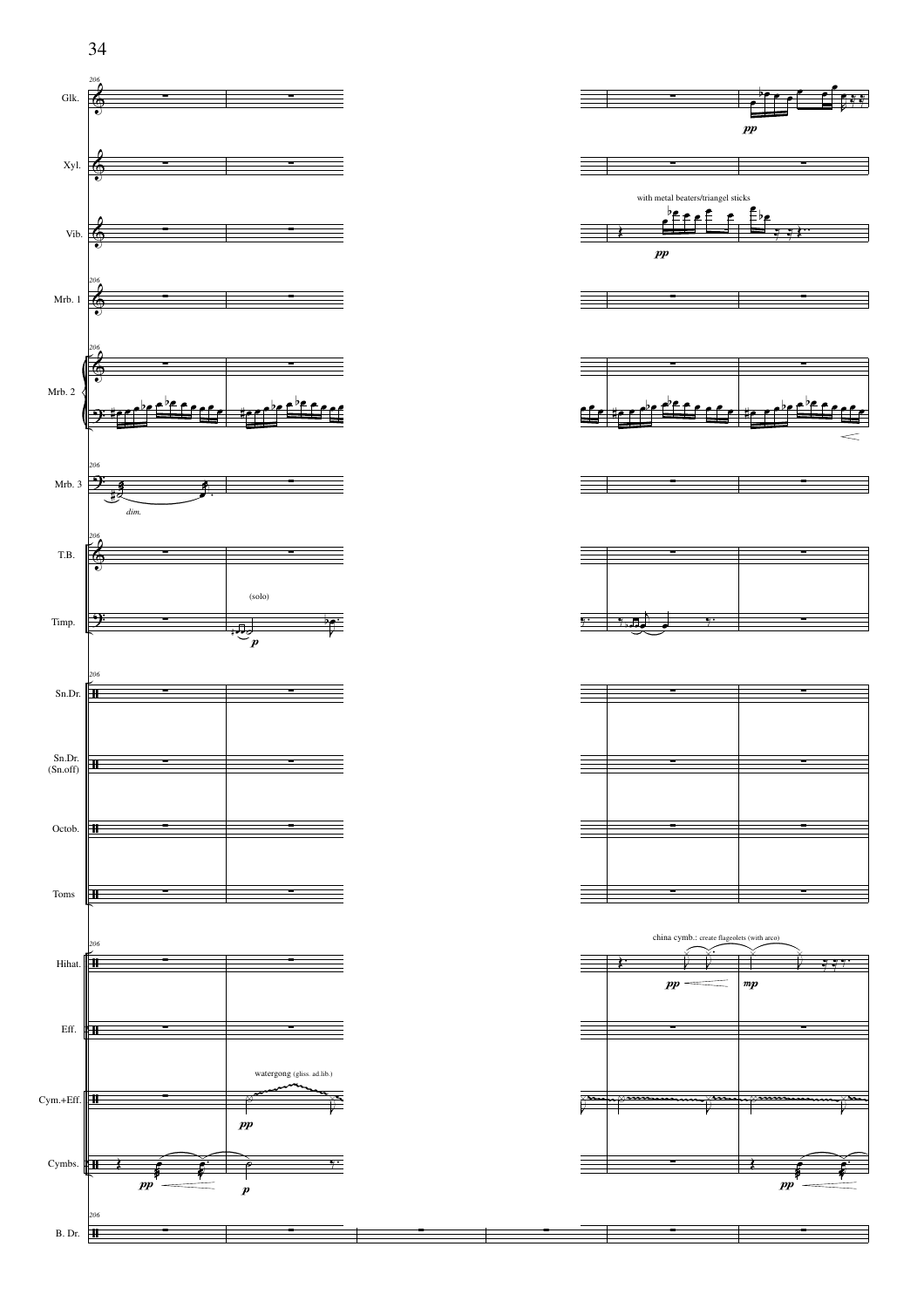

∑

∃

∑

∑



æ J @  $\mathbf{p}$ 

 $\equiv$ 

∑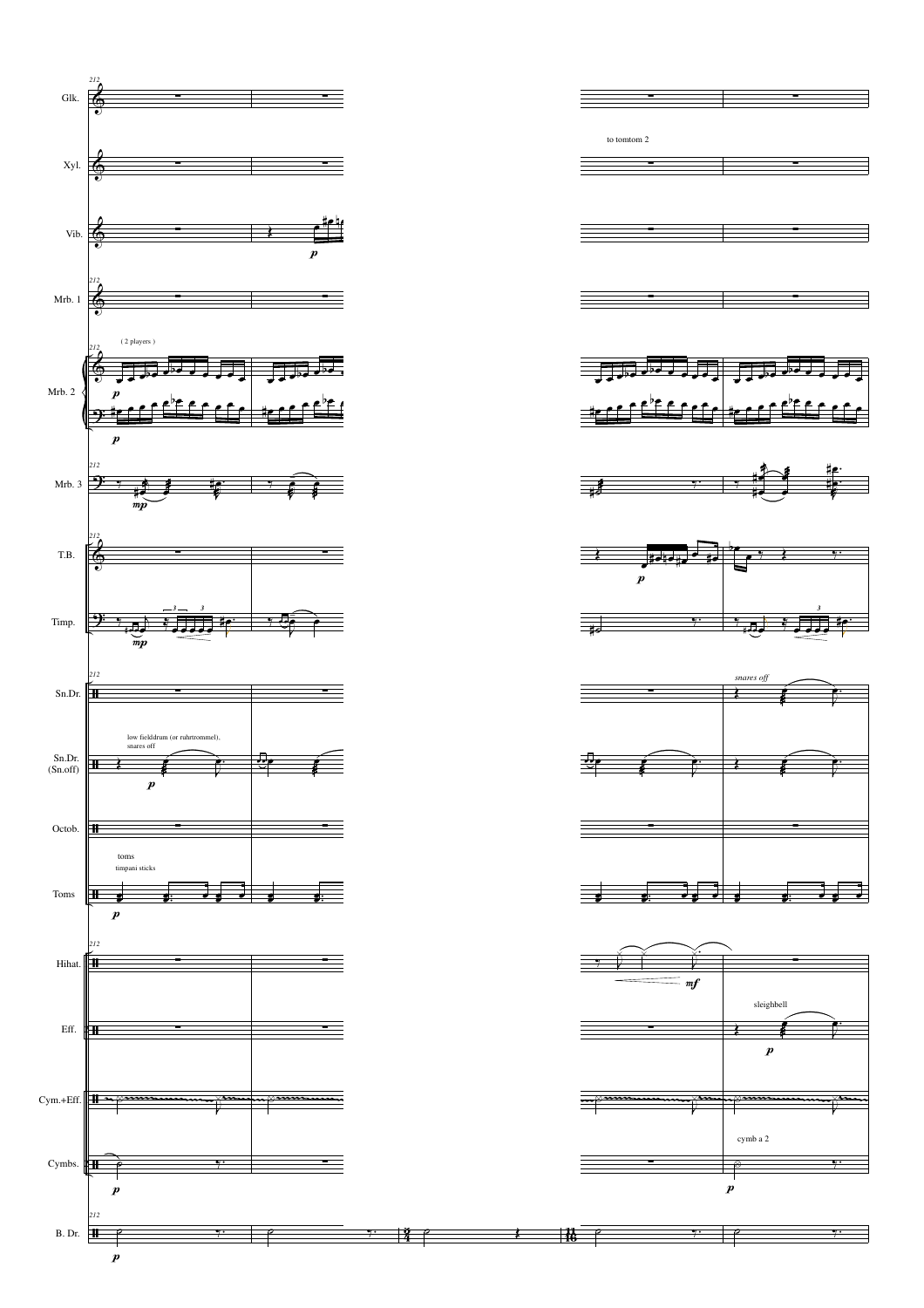

p





4 3 16 11 ˙ ‰. ˙ Œ ˙ ‰. ˙ ‰.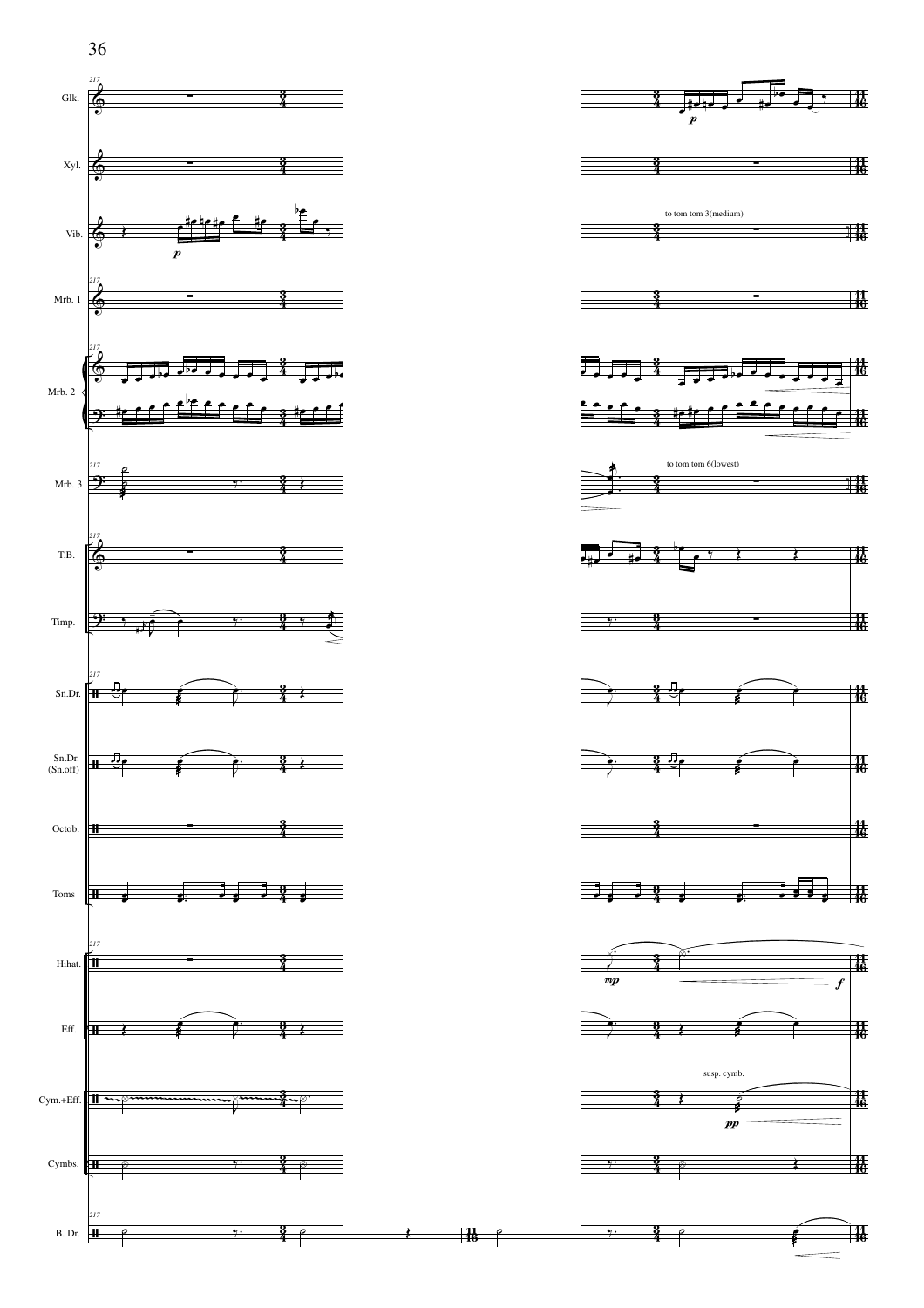



4 3 16 11 4 3 ˙ ‰. ˙ Œ ˙ ‰. ˙ œ 16 11 æ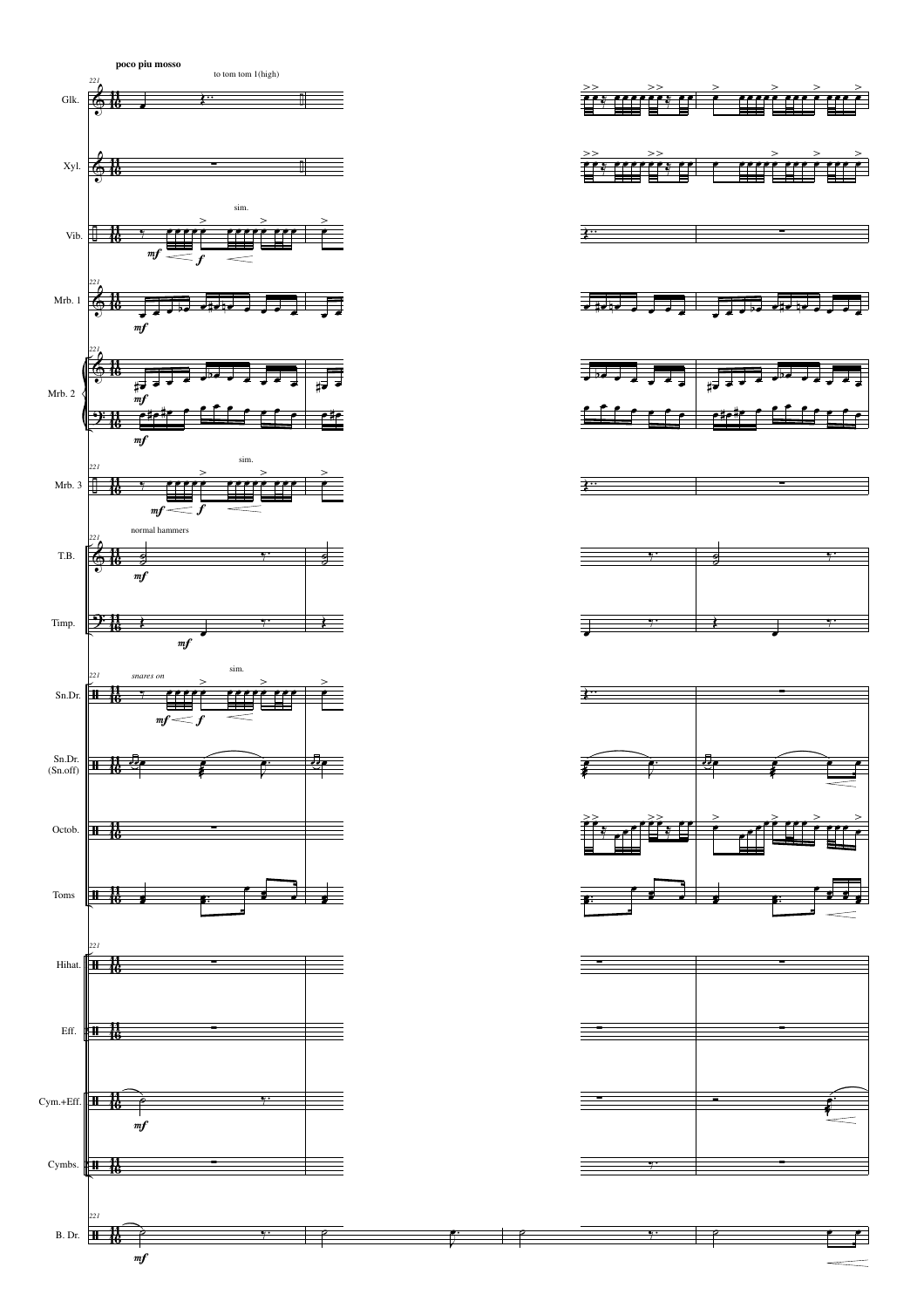





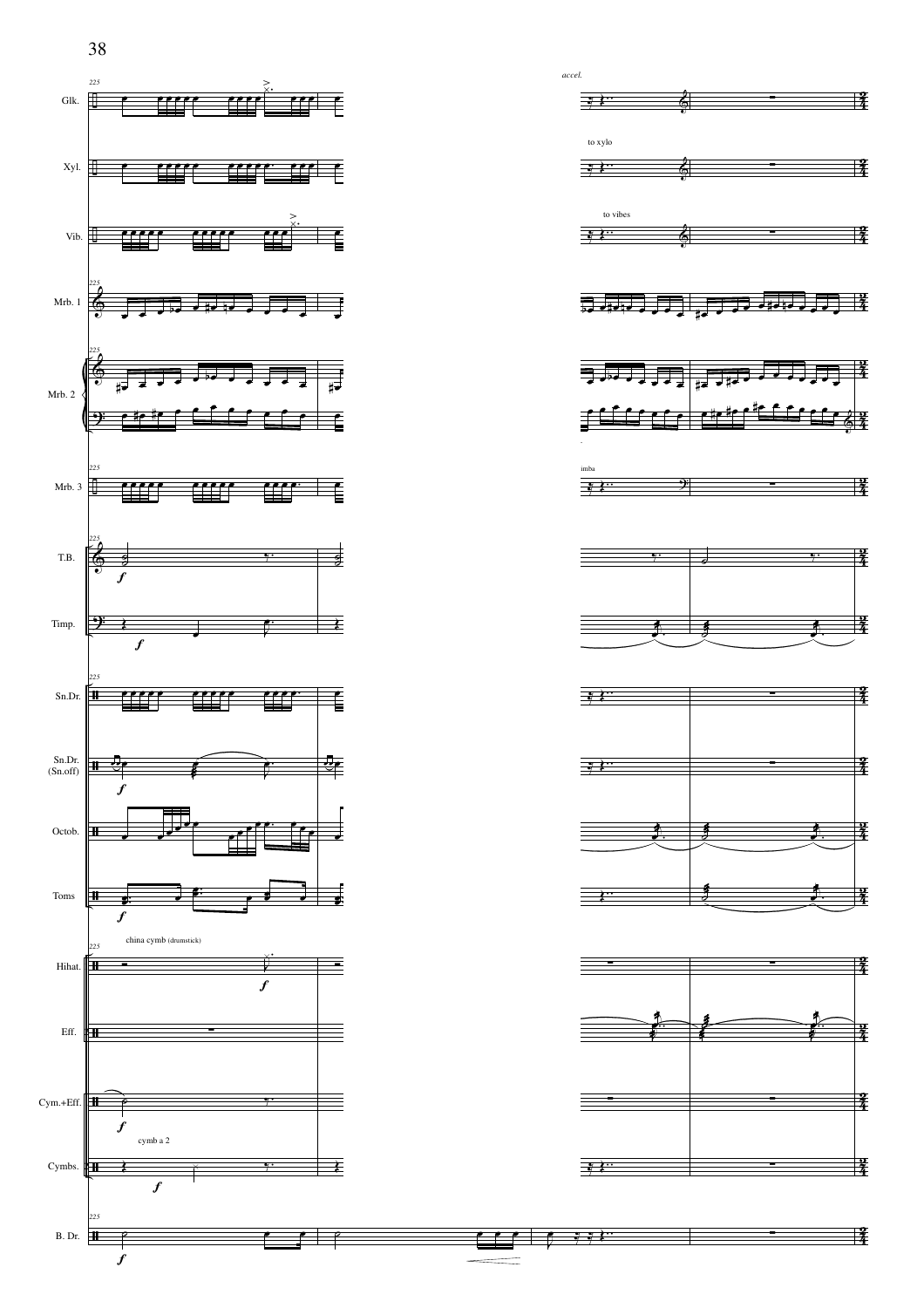







┓

∑

J œ >

 $-\frac{2}{7}$   $\frac{3}{7}$   $\frac{3}{5}$   $\cdots$ 

4 2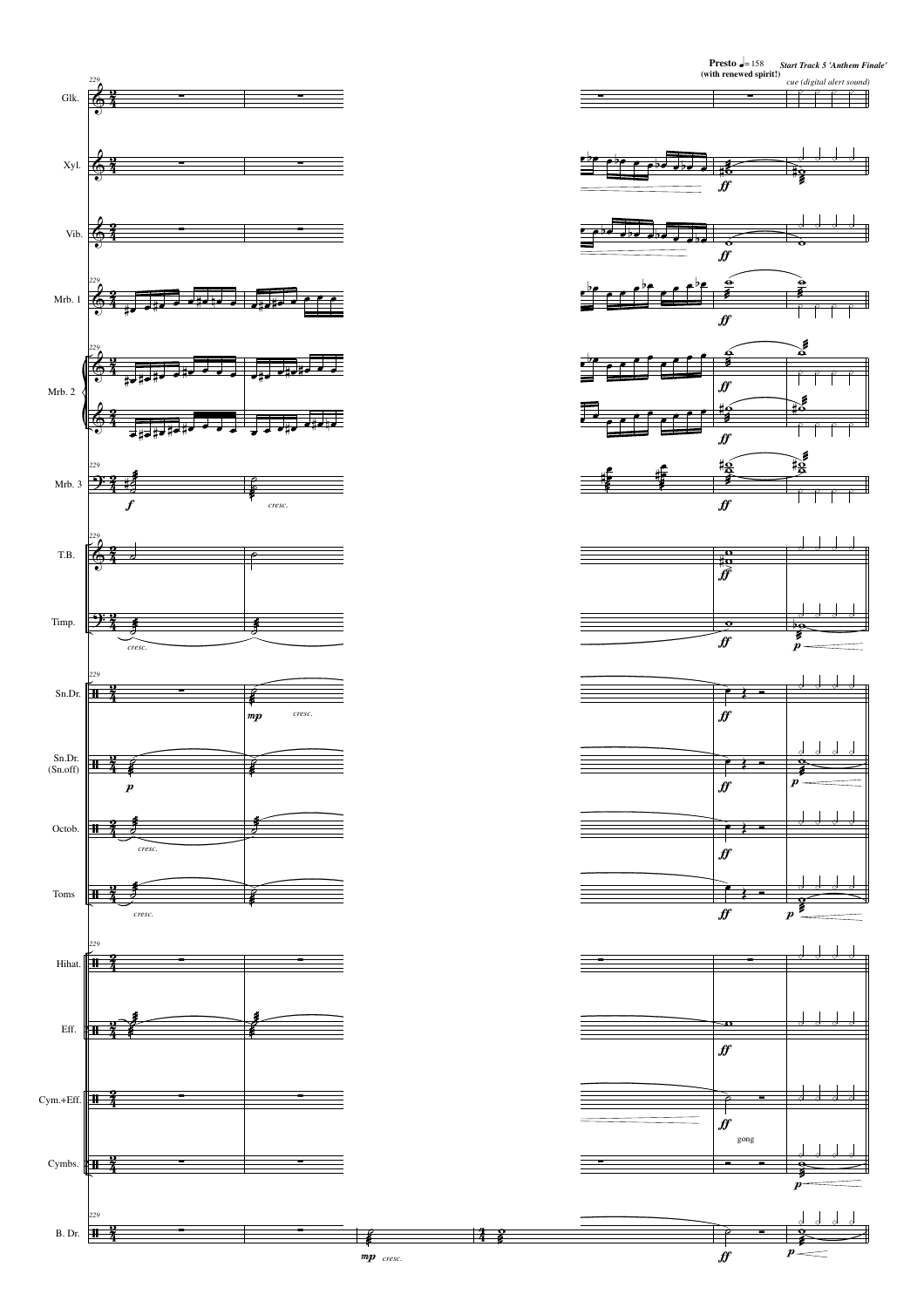



4 4 w æ

 $\hat{f}$  $\boldsymbol{p}$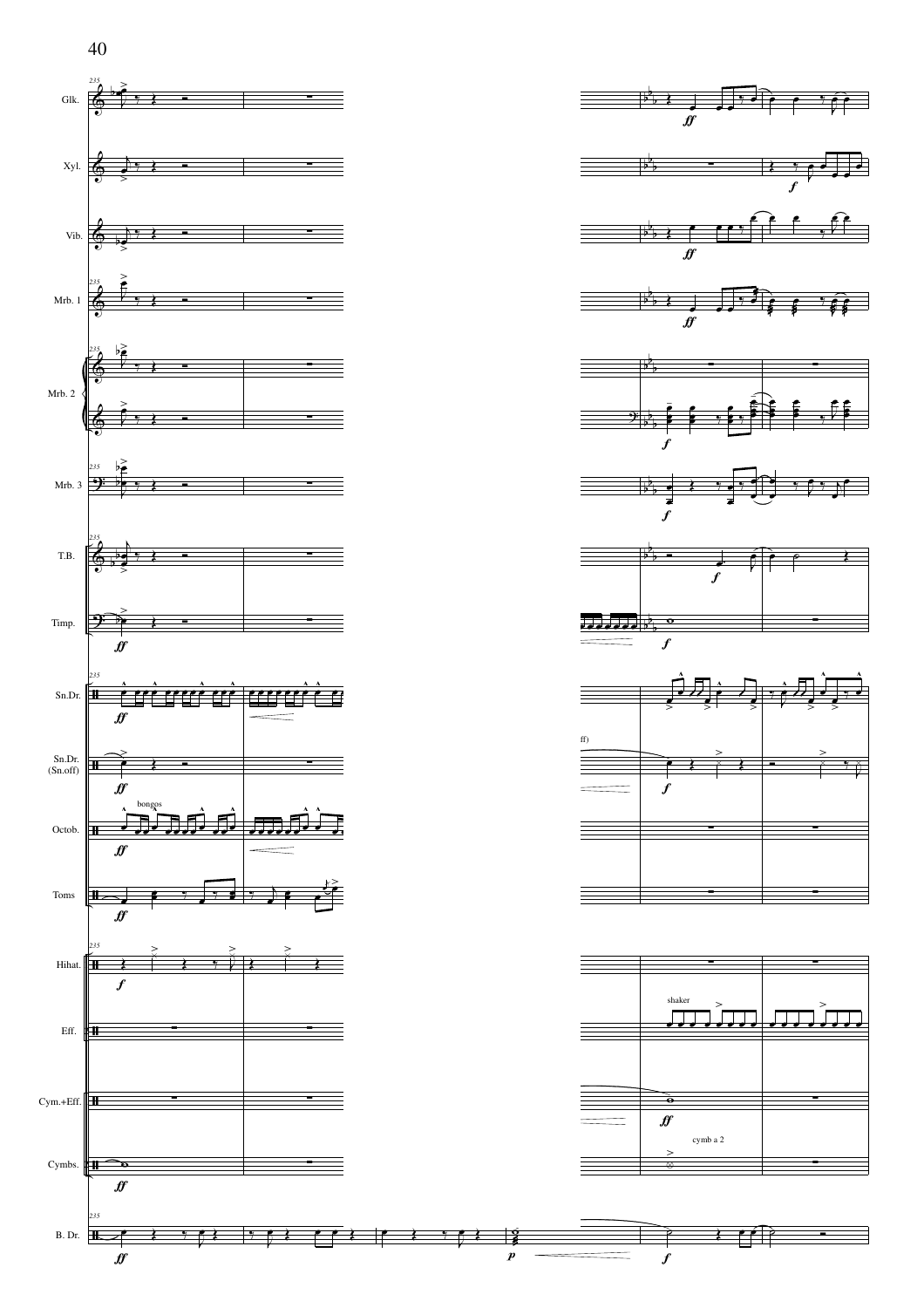



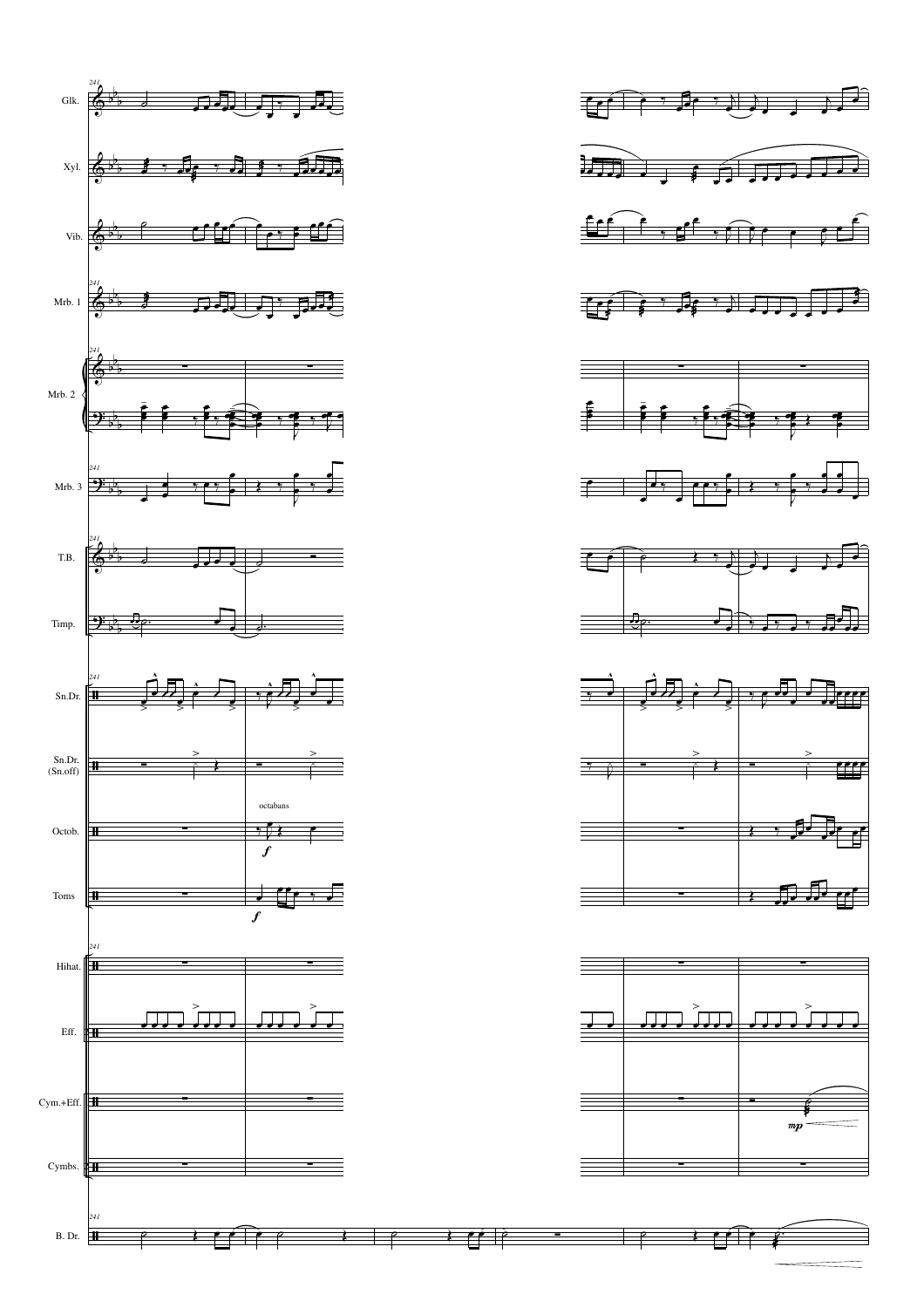





 $\circ$   $\bullet$   $\circ$   $\circ$   $\circ$ 

æ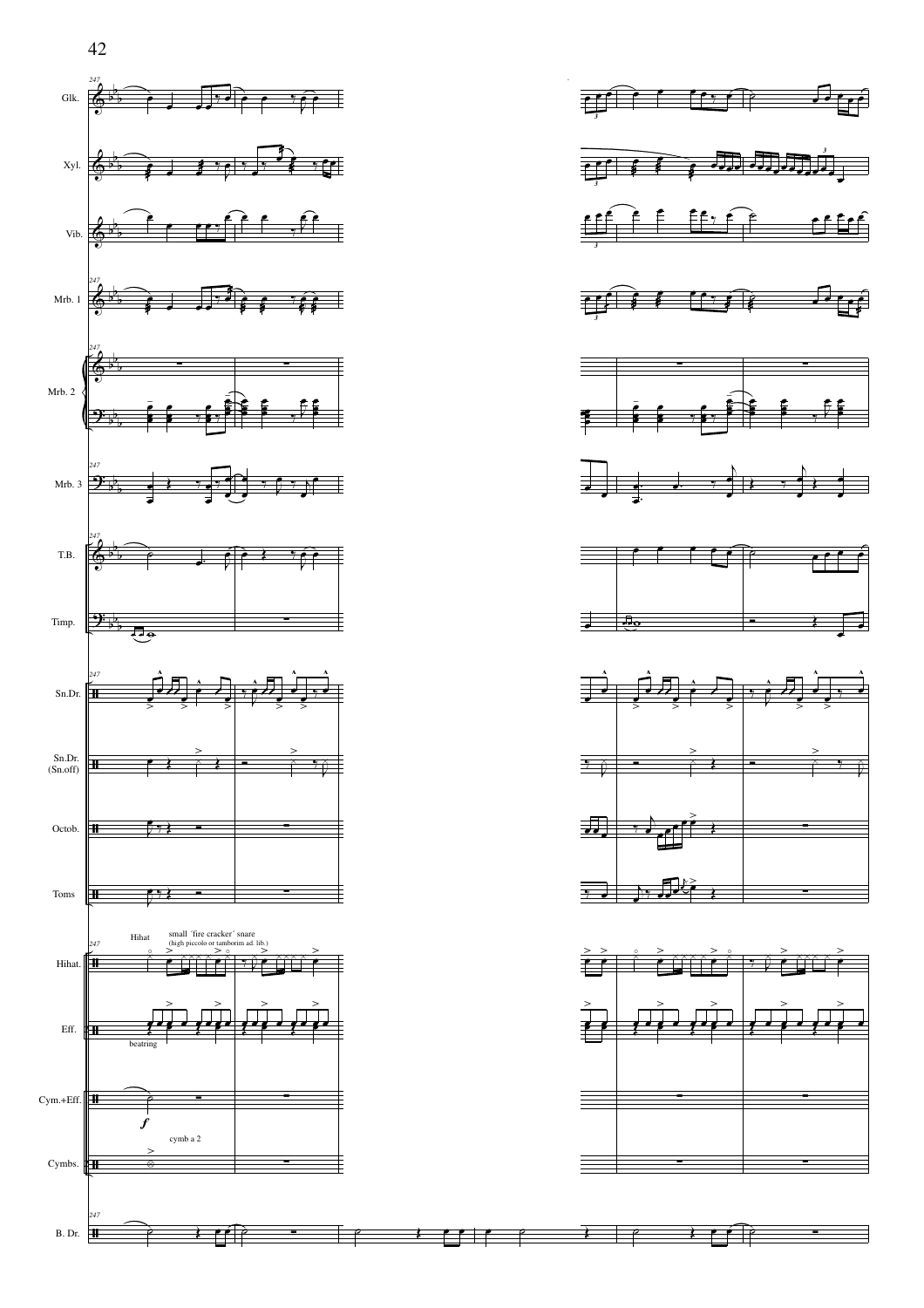

œ @ œ æ

œ æ

> œ œ œ

‰ J œ  $^{"}$ œ

∑

 $\geq$  $^{\prime\prime}\check{\vec{\psi}}$ x

∑

∑

 $\frac{1}{2}$ œ <sup>^</sup> œ >  $\frac{1}{2}$ ^

∳Ĥ

‰ J œ @ œ æ

∑

‰ J œ œ œ œ

 $\overline{\phantom{0}}$ 

‰ œœ





∑ ∑ ∑ ∑

 $\overrightarrow{r}$   $\overrightarrow{r}$   $\overrightarrow{r}$ 

 $\dot{\epsilon}$   $-$ 

 $\overrightarrow{r}$ 

⋣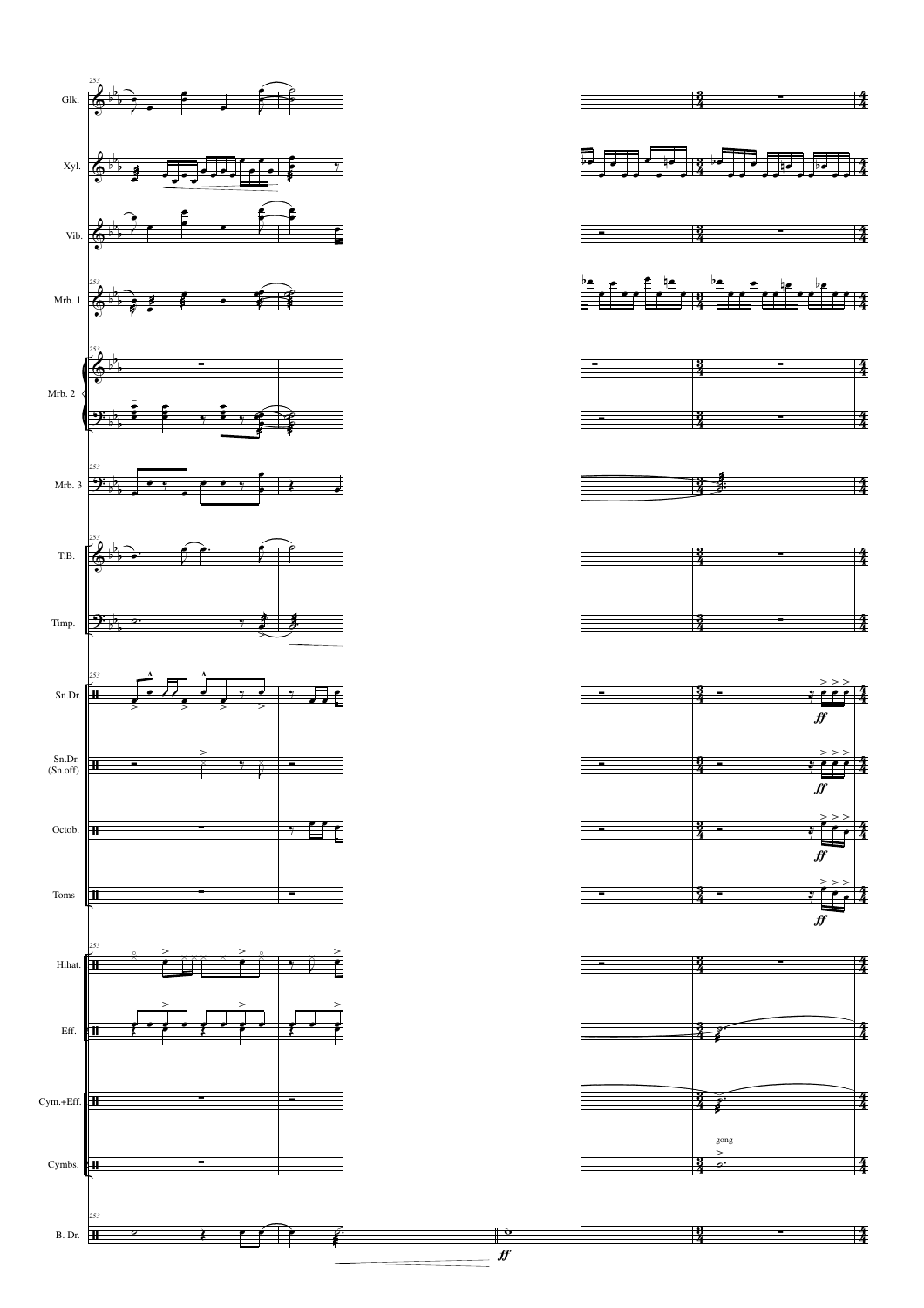



4 3 ˙.  $\geq$ 

gong

∑

4 3

 $f\hspace{-0.1cm}f$ 

.<br>o

4 4

4 4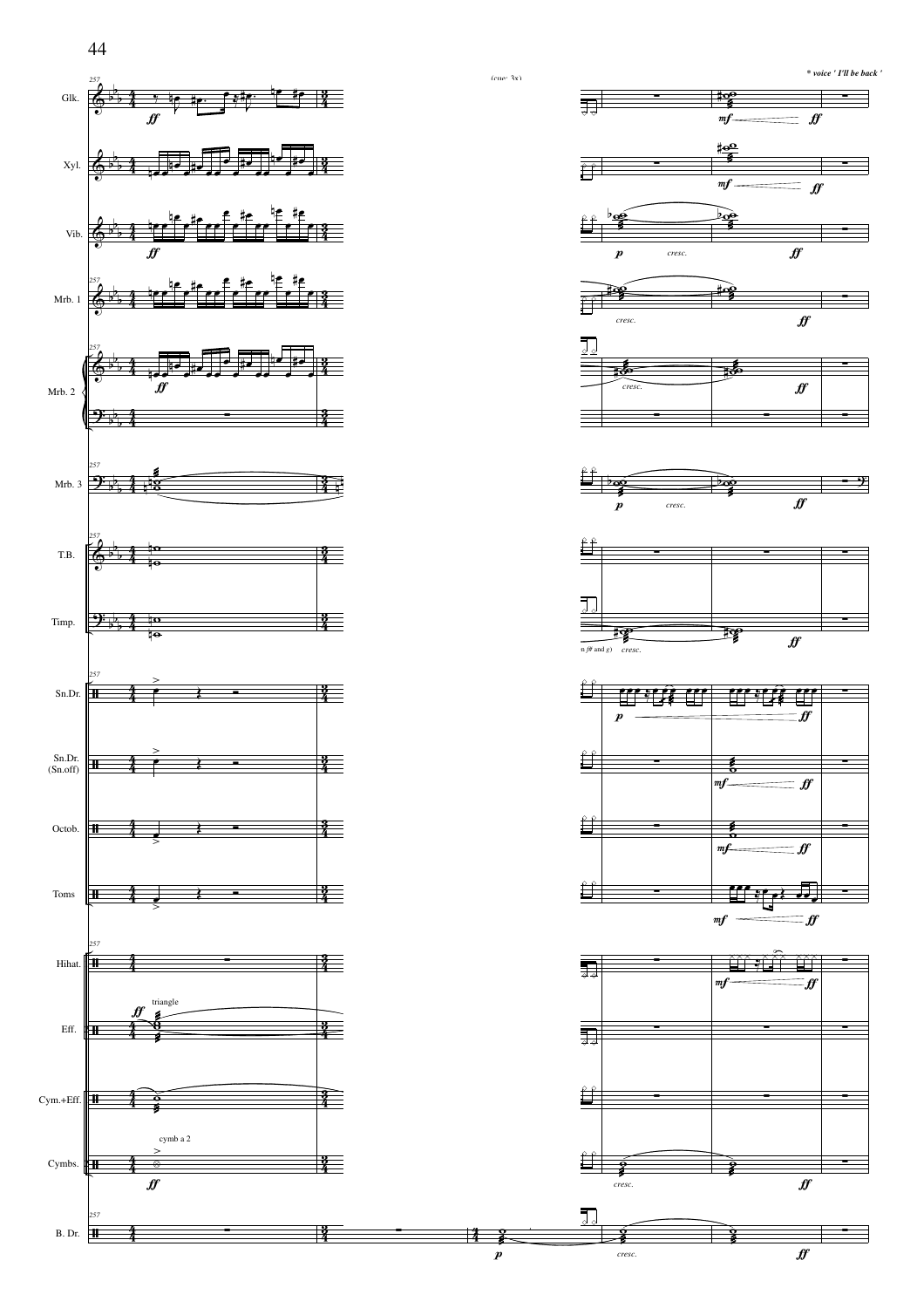



 $\overline{f}$ 

ᡷ  $\boldsymbol{p}$ 

cresc

 $\exists 4$ 

 $(cue: 3x)$